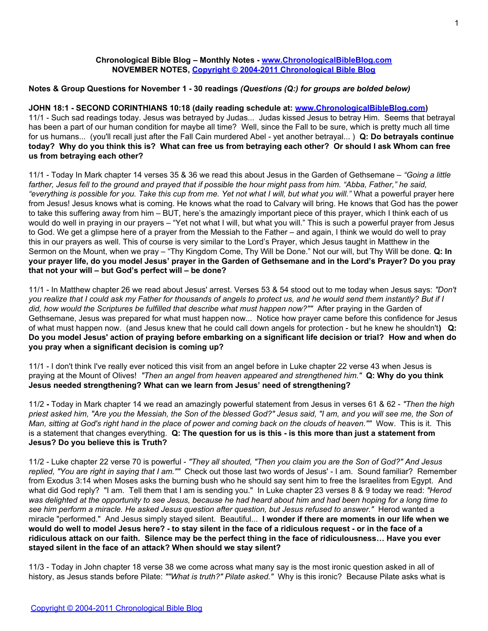## **Chronological Bible Blog – Monthly Notes - [www.ChronologicalBibleBlog.com](http://www.chronologicalbibleblog.com/) NOVEMBER NOTES, [Copyright © 2004-2011 Chronological Bible Blog](http://www.chronologicalbibleblog.com/)**

# **Notes & Group Questions for November 1 - 30 readings** *(Questions (Q:) for groups are bolded below)*

## **JOHN 18:1 - SECOND CORINTHIANS 10:18 (daily reading schedule at: [www.ChronologicalBibleBlog.com\)](http://www.chronologicalbibleblog.com/)**

11/1 - Such sad readings today. Jesus was betrayed by Judas... Judas kissed Jesus to betray Him. Seems that betrayal has been a part of our human condition for maybe all time? Well, since the Fall to be sure, which is pretty much all time for us humans... (you'll recall just after the Fall Cain murdered Abel - yet another betrayal... ) **Q: Do betrayals continue today? Why do you think this is? What can free us from betraying each other? Or should I ask Whom can free us from betraying each other?**

11/1 - Today In Mark chapter 14 verses 35 & 36 we read this about Jesus in the Garden of Gethsemane – *"Going a little farther, Jesus fell to the ground and prayed that if possible the hour might pass from him. "Abba, Father," he said, "everything is possible for you. Take this cup from me. Yet not what I will, but what you will."* What a powerful prayer here from Jesus! Jesus knows what is coming. He knows what the road to Calvary will bring. He knows that God has the power to take this suffering away from him – BUT, here's the amazingly important piece of this prayer, which I think each of us would do well in praying in our prayers – "Yet not what I will, but what you will." This is such a powerful prayer from Jesus to God. We get a glimpse here of a prayer from the Messiah to the Father – and again, I think we would do well to pray this in our prayers as well. This of course is very similar to the Lord's Prayer, which Jesus taught in Matthew in the Sermon on the Mount, when we pray – "Thy Kingdom Come, Thy Will be Done." Not our will, but Thy Will be done. **Q: In your prayer life, do you model Jesus' prayer in the Garden of Gethsemane and in the Lord's Prayer? Do you pray that not your will – but God's perfect will – be done?**

11/1 - In Matthew chapter 26 we read about Jesus' arrest. Verses 53 & 54 stood out to me today when Jesus says: *"Don't you realize that I could ask my Father for thousands of angels to protect us, and he would send them instantly? But if I did, how would the Scriptures be fulfilled that describe what must happen now?""* After praying in the Garden of Gethsemane, Jesus was prepared for what must happen now... Notice how prayer came before this confidence for Jesus of what must happen now. (and Jesus knew that he could call down angels for protection - but he knew he shouldn't**) Q: Do you model Jesus' action of praying before embarking on a significant life decision or trial? How and when do you pray when a significant decision is coming up?**

11/1 - I don't think I've really ever noticed this visit from an angel before in Luke chapter 22 verse 43 when Jesus is praying at the Mount of Olives! *"Then an angel from heaven appeared and strengthened him."* **Q: Why do you think Jesus needed strengthening? What can we learn from Jesus' need of strengthening?**

11/2 **-** Today in Mark chapter 14 we read an amazingly powerful statement from Jesus in verses 61 & 62 - *"Then the high priest asked him, "Are you the Messiah, the Son of the blessed God?" Jesus said, "I am, and you will see me, the Son of Man, sitting at God's right hand in the place of power and coming back on the clouds of heaven.""* Wow. This is it. This is a statement that changes everything. **Q: The question for us is this - is this more than just a statement from Jesus? Do you believe this is Truth?**

11/2 - Luke chapter 22 verse 70 is powerful - *"They all shouted, "Then you claim you are the Son of God?" And Jesus replied, "You are right in saying that I am.""* Check out those last two words of Jesus' - I am. Sound familiar? Remember from Exodus 3:14 when Moses asks the burning bush who he should say sent him to free the Israelites from Egypt. And what did God reply? "I am. Tell them that I am is sending you." In Luke chapter 23 verses 8 & 9 today we read: *"Herod was delighted at the opportunity to see Jesus, because he had heard about him and had been hoping for a long time to see him perform a miracle. He asked Jesus question after question, but Jesus refused to answer."* Herod wanted a miracle "performed." And Jesus simply stayed silent. Beautiful... **I wonder if there are moments in our life when we would do well to model Jesus here? - to stay silent in the face of a ridiculous request - or in the face of a ridiculous attack on our faith. Silence may be the perfect thing in the face of ridiculousness… Have you ever stayed silent in the face of an attack? When should we stay silent?**

11/3 - Today in John chapter 18 verse 38 we come across what many say is the most ironic question asked in all of history, as Jesus stands before Pilate: *""What is truth?" Pilate asked."* Why is this ironic? Because Pilate asks what is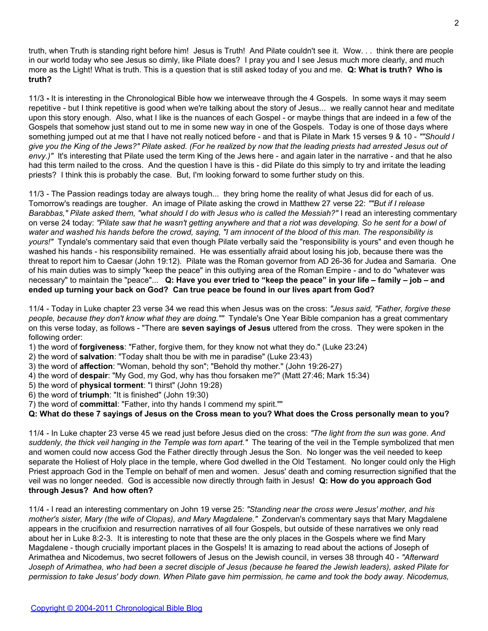truth, when Truth is standing right before him! Jesus is Truth! And Pilate couldn't see it. Wow. . . think there are people in our world today who see Jesus so dimly, like Pilate does? I pray you and I see Jesus much more clearly, and much more as the Light! What is truth. This is a question that is still asked today of you and me. **Q: What is truth? Who is truth?**

11/3 **-** It is interesting in the Chronological Bible how we interweave through the 4 Gospels. In some ways it may seem repetitive - but I think repetitive is good when we're talking about the story of Jesus... we really cannot hear and meditate upon this story enough. Also, what I like is the nuances of each Gospel - or maybe things that are indeed in a few of the Gospels that somehow just stand out to me in some new way in one of the Gospels. Today is one of those days where something jumped out at me that I have not really noticed before - and that is Pilate in Mark 15 verses 9 & 10 - *""Should I give you the King of the Jews?" Pilate asked. (For he realized by now that the leading priests had arrested Jesus out of envy.)"* It's interesting that Pilate used the term King of the Jews here - and again later in the narrative - and that he also had this term nailed to the cross. And the question I have is this - did Pilate do this simply to try and irritate the leading priests? I think this is probably the case. But, I'm looking forward to some further study on this.

11/3 - The Passion readings today are always tough... they bring home the reality of what Jesus did for each of us. Tomorrow's readings are tougher. An image of Pilate asking the crowd in Matthew 27 verse 22: *""But if I release Barabbas," Pilate asked them, "what should I do with Jesus who is called the Messiah?"* I read an interesting commentary on verse 24 today: *"Pilate saw that he wasn't getting anywhere and that a riot was developing. So he sent for a bowl of water and washed his hands before the crowd, saying, "I am innocent of the blood of this man. The responsibility is yours!"* Tyndale's commentary said that even though Pilate verbally said the "responsibility is yours" and even though he washed his hands - his responsibility remained. He was essentially afraid about losing his job, because there was the threat to report him to Caesar (John 19:12). Pilate was the Roman governor from AD 26-36 for Judea and Samaria. One of his main duties was to simply "keep the peace" in this outlying area of the Roman Empire - and to do "whatever was necessary" to maintain the "peace"... **Q: Have you ever tried to "keep the peace" in your life – family – job – and ended up turning your back on God? Can true peace be found in our lives apart from God?**

11/4 - Today in Luke chapter 23 verse 34 we read this when Jesus was on the cross: *"Jesus said, "Father, forgive these people, because they don't know what they are doing.""* Tyndale's One Year Bible companion has a great commentary on this verse today, as follows - "There are **seven sayings of Jesus** uttered from the cross. They were spoken in the following order:

1) the word of **forgiveness**: "Father, forgive them, for they know not what they do." (Luke 23:24)

2) the word of **salvation**: "Today shalt thou be with me in paradise" (Luke 23:43)

- 3) the word of **affection**: "Woman, behold thy son"; "Behold thy mother." (John 19:26-27)
- 4) the word of **despair**: "My God, my God, why has thou forsaken me?" (Matt 27:46; Mark 15:34)
- 5) the word of **physical torment**: "I thirst" (John 19:28)

6) the word of **triumph**: "It is finished" (John 19:30)

7) the word of **committal**: "Father, into thy hands I commend my spirit.""

**Q: What do these 7 sayings of Jesus on the Cross mean to you? What does the Cross personally mean to you?**

11/4 - In Luke chapter 23 verse 45 we read just before Jesus died on the cross: *"The light from the sun was gone. And suddenly, the thick veil hanging in the Temple was torn apart."* The tearing of the veil in the Temple symbolized that men and women could now access God the Father directly through Jesus the Son. No longer was the veil needed to keep separate the Holiest of Holy place in the temple, where God dwelled in the Old Testament. No longer could only the High Priest approach God in the Temple on behalf of men and women. Jesus' death and coming resurrection signified that the veil was no longer needed. God is accessible now directly through faith in Jesus! **Q: How do you approach God through Jesus? And how often?**

11/4 - I read an interesting commentary on John 19 verse 25: *"Standing near the cross were Jesus' mother, and his mother's sister, Mary (the wife of Clopas), and Mary Magdalene."* Zondervan's commentary says that Mary Magdalene appears in the crucifixion and resurrection narratives of all four Gospels, but outside of these narratives we only read about her in Luke 8:2-3. It is interesting to note that these are the only places in the Gospels where we find Mary Magdalene - though crucially important places in the Gospels! It is amazing to read about the actions of Joseph of Arimathea and Nicodemus, two secret followers of Jesus on the Jewish council, in verses 38 through 40 - *"Afterward Joseph of Arimathea, who had been a secret disciple of Jesus (because he feared the Jewish leaders), asked Pilate for permission to take Jesus' body down. When Pilate gave him permission, he came and took the body away. Nicodemus,*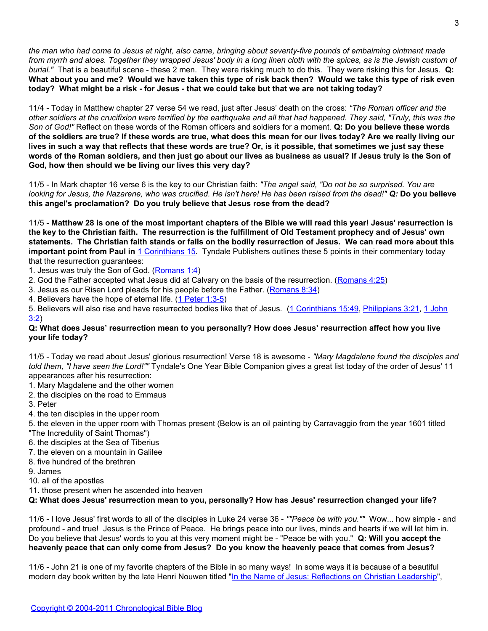*the man who had come to Jesus at night, also came, bringing about seventy-five pounds of embalming ointment made from myrrh and aloes. Together they wrapped Jesus' body in a long linen cloth with the spices, as is the Jewish custom of burial."* That is a beautiful scene - these 2 men. They were risking much to do this. They were risking this for Jesus. **Q: What about you and me? Would we have taken this type of risk back then? Would we take this type of risk even today? What might be a risk - for Jesus - that we could take but that we are not taking today?**

11/4 - Today in Matthew chapter 27 verse 54 we read, just after Jesus' death on the cross: *"The Roman officer and the other soldiers at the crucifixion were terrified by the earthquake and all that had happened. They said, "Truly, this was the Son of God!"* Reflect on these words of the Roman officers and soldiers for a moment. **Q: Do you believe these words of the soldiers are true? If these words are true, what does this mean for our lives today? Are we really living our lives in such a way that reflects that these words are true? Or, is it possible, that sometimes we just say these words of the Roman soldiers, and then just go about our lives as business as usual? If Jesus truly is the Son of God, how then should we be living our lives this very day?**

11/5 - In Mark chapter 16 verse 6 is the key to our Christian faith: *"The angel said, "Do not be so surprised. You are looking for Jesus, the Nazarene, who was crucified. He isn't here! He has been raised from the dead!" Q:* **Do you believe this angel's proclamation? Do you truly believe that Jesus rose from the dead?**

11/5 - **Matthew 28 is one of the most important chapters of the Bible we will read this year! Jesus' resurrection is the key to the Christian faith. The resurrection is the fulfillment of Old Testament prophecy and of Jesus' own statements. The Christian faith stands or falls on the bodily resurrection of Jesus. We can read more about this important point from Paul in** [1 Corinthians 15](http://blank/). Tyndale Publishers outlines these 5 points in their commentary today that the resurrection guarantees:

1. Jesus was truly the Son of God. [\(Romans 1:4](http://blank/))

- 2. God the Father accepted what Jesus did at Calvary on the basis of the resurrection. [\(Romans 4:25\)](http://blank/)
- 3. Jesus as our Risen Lord pleads for his people before the Father. [\(Romans 8:34\)](http://blank/)
- 4. Believers have the hope of eternal life. [\(1 Peter 1:3-5](http://blank/))

5. Believers will also rise and have resurrected bodies like that of Jesus. [\(1 Corinthians 15:49](http://blank/), [Philippians 3:21](http://blank/), [1 John](http://blank/) [3:2\)](http://blank/)

# **Q: What does Jesus' resurrection mean to you personally? How does Jesus' resurrection affect how you live your life today?**

11/5 - Today we read about Jesus' glorious resurrection! Verse 18 is awesome - *"Mary Magdalene found the disciples and told them, "I have seen the Lord!""* Tyndale's One Year Bible Companion gives a great list today of the order of Jesus' 11 appearances after his resurrection:

- 1. Mary Magdalene and the other women
- 2. the disciples on the road to Emmaus
- 3. Peter
- 4. the ten disciples in the upper room
- 5. the eleven in the upper room with Thomas present (Below is an oil painting by Carravaggio from the year 1601 titled "The Incredulity of Saint Thomas")
- 6. the disciples at the Sea of Tiberius
- 7. the eleven on a mountain in Galilee
- 8. five hundred of the brethren
- 

9. James

10. all of the apostles

11. those present when he ascended into heaven

**Q: What does Jesus' resurrection mean to you, personally? How has Jesus' resurrection changed your life?**

11/6 - I love Jesus' first words to all of the disciples in Luke 24 verse 36 - *""Peace be with you.""* Wow... how simple - and profound - and true! Jesus is the Prince of Peace. He brings peace into our lives, minds and hearts if we will let him in. Do you believe that Jesus' words to you at this very moment might be - "Peace be with you." **Q: Will you accept the heavenly peace that can only come from Jesus? Do you know the heavenly peace that comes from Jesus?**

11/6 - John 21 is one of my favorite chapters of the Bible in so many ways! In some ways it is because of a beautiful modern day book written by the late Henri Nouwen titled "[In the Name of Jesus: Reflections on Christian Leadership"](http://www.amazon.com/gp/product/0824512596/),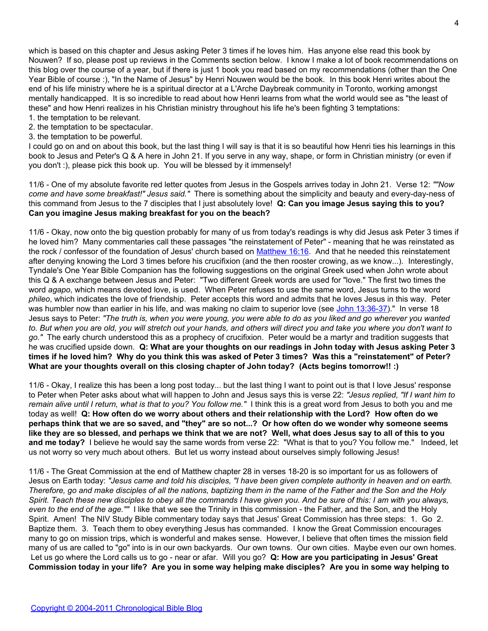which is based on this chapter and Jesus asking Peter 3 times if he loves him. Has anyone else read this book by Nouwen? If so, please post up reviews in the Comments section below. I know I make a lot of book recommendations on this blog over the course of a year, but if there is just 1 book you read based on my recommendations (other than the One Year Bible of course :), "In the Name of Jesus" by Henri Nouwen would be the book. In this book Henri writes about the end of his life ministry where he is a spiritual director at a L'Arche Daybreak community in Toronto, working amongst mentally handicapped. It is so incredible to read about how Henri learns from what the world would see as "the least of these" and how Henri realizes in his Christian ministry throughout his life he's been fighting 3 temptations:

- 1. the temptation to be relevant.
- 2. the temptation to be spectacular.
- 3. the temptation to be powerful.

I could go on and on about this book, but the last thing I will say is that it is so beautiful how Henri ties his learnings in this book to Jesus and Peter's Q & A here in John 21. If you serve in any way, shape, or form in Christian ministry (or even if you don't :), please pick this book up. You will be blessed by it immensely!

11/6 - One of my absolute favorite red letter quotes from Jesus in the Gospels arrives today in John 21. Verse 12: *""Now come and have some breakfast!" Jesus said."* There is something about the simplicity and beauty and every-day-ness of this command from Jesus to the 7 disciples that I just absolutely love! **Q: Can you image Jesus saying this to you? Can you imagine Jesus making breakfast for you on the beach?**

11/6 - Okay, now onto the big question probably for many of us from today's readings is why did Jesus ask Peter 3 times if he loved him? Many commentaries call these passages "the reinstatement of Peter" - meaning that he was reinstated as the rock / confessor of the foundation of Jesus' church based on [Matthew 16:16.](http://www.biblegateway.com/passage/?search=matthew%2016:16-18) And that he needed this reinstatement after denying knowing the Lord 3 times before his crucifixion (and the then rooster crowing, as we know...). Interestingly, Tyndale's One Year Bible Companion has the following suggestions on the original Greek used when John wrote about this Q & A exchange between Jesus and Peter: "Two different Greek words are used for "love." The first two times the word *agapo*, which means devoted love, is used. When Peter refuses to use the same word, Jesus turns to the word *phileo*, which indicates the love of friendship. Peter accepts this word and admits that he loves Jesus in this way. Peter was humbler now than earlier in his life, and was making no claim to superior love (see [John 13:36-37](http://www.biblegateway.com/passage/?search=John%2013:36-37))." In verse 18 Jesus says to Peter: *"The truth is, when you were young, you were able to do as you liked and go wherever you wanted to. But when you are old, you will stretch out your hands, and others will direct you and take you where you don't want to go."* The early church understood this as a prophecy of crucifixion. Peter would be a martyr and tradition suggests that he was crucified upside down. **Q: What are your thoughts on our readings in John today with Jesus asking Peter 3 times if he loved him? Why do you think this was asked of Peter 3 times? Was this a "reinstatement" of Peter? What are your thoughts overall on this closing chapter of John today? (Acts begins tomorrow!! :)**

11/6 - Okay, I realize this has been a long post today... but the last thing I want to point out is that I love Jesus' response to Peter when Peter asks about what will happen to John and Jesus says this is verse 22: *"Jesus replied, "If I want him to remain alive until I return, what is that to you? You follow me."* I think this is a great word from Jesus to both you and me today as well! **Q: How often do we worry about others and their relationship with the Lord? How often do we perhaps think that we are so saved, and "they" are so not...? Or how often do we wonder why someone seems like they are so blessed, and perhaps we think that we are not? Well, what does Jesus say to all of this to you and me today?** I believe he would say the same words from verse 22: "What is that to you? You follow me." Indeed, let us not worry so very much about others. But let us worry instead about ourselves simply following Jesus!

11/6 - The Great Commission at the end of Matthew chapter 28 in verses 18-20 is so important for us as followers of Jesus on Earth today: *"Jesus came and told his disciples, "I have been given complete authority in heaven and on earth. Therefore, go and make disciples of all the nations, baptizing them in the name of the Father and the Son and the Holy Spirit. Teach these new disciples to obey all the commands I have given you. And be sure of this: I am with you always, even to the end of the age.""* I like that we see the Trinity in this commission - the Father, and the Son, and the Holy Spirit. Amen! The NIV Study Bible commentary today says that Jesus' Great Commission has three steps: 1. Go 2. Baptize them. 3. Teach them to obey everything Jesus has commanded. I know the Great Commission encourages many to go on mission trips, which is wonderful and makes sense. However, I believe that often times the mission field many of us are called to "go" into is in our own backyards. Our own towns. Our own cities. Maybe even our own homes. Let us go where the Lord calls us to go - near or afar. Will you go? **Q: How are you participating in Jesus' Great Commission today in your life? Are you in some way helping make disciples? Are you in some way helping to**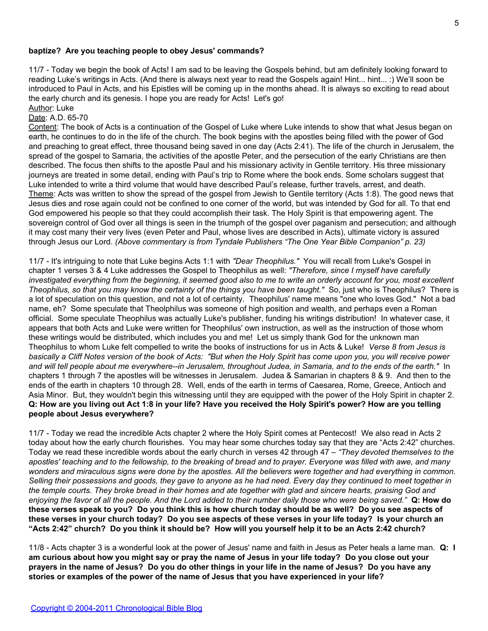## **baptize? Are you teaching people to obey Jesus' commands?**

11/7 - Today we begin the book of Acts! I am sad to be leaving the Gospels behind, but am definitely looking forward to reading Luke's writings in Acts. (And there is always next year to read the Gospels again! Hint... hint... :) We'll soon be introduced to Paul in Acts, and his Epistles will be coming up in the months ahead. It is always so exciting to read about the early church and its genesis. I hope you are ready for Acts! Let's go!

#### Author: Luke Date: A.D. 65-70

Content: The book of Acts is a continuation of the Gospel of Luke where Luke intends to show that what Jesus began on earth, he continues to do in the life of the church. The book begins with the apostles being filled with the power of God and preaching to great effect, three thousand being saved in one day (Acts 2:41). The life of the church in Jerusalem, the spread of the gospel to Samaria, the activities of the apostle Peter, and the persecution of the early Christians are then described. The focus then shifts to the apostle Paul and his missionary activity in Gentile territory. His three missionary journeys are treated in some detail, ending with Paul's trip to Rome where the book ends. Some scholars suggest that Luke intended to write a third volume that would have described Paul's release, further travels, arrest, and death. Theme: Acts was written to show the spread of the gospel from Jewish to Gentile territory (Acts 1:8). The good news that Jesus dies and rose again could not be confined to one corner of the world, but was intended by God for all. To that end God empowered his people so that they could accomplish their task. The Holy Spirit is that empowering agent. The sovereign control of God over all things is seen in the triumph of the gospel over paganism and persecution; and although it may cost many their very lives (even Peter and Paul, whose lives are described in Acts), ultimate victory is assured through Jesus our Lord. *(Above commentary is from Tyndale Publishers "The One Year Bible Companion" p. 23)*

11/7 - It's intriguing to note that Luke begins Acts 1:1 with *"Dear Theophilus."* You will recall from Luke's Gospel in chapter 1 verses 3 & 4 Luke addresses the Gospel to Theophilus as well: *"Therefore, since I myself have carefully investigated everything from the beginning, it seemed good also to me to write an orderly account for you, most excellent Theophilus, so that you may know the certainty of the things you have been taught."* So, just who is Theophilus? There is a lot of speculation on this question, and not a lot of certainty. Theophilus' name means "one who loves God." Not a bad name, eh? Some speculate that Theolphilus was someone of high position and wealth, and perhaps even a Roman official. Some speculate Theophilus was actually Luke's publisher, funding his writings distribution! In whatever case, it appears that both Acts and Luke were written for Theophilus' own instruction, as well as the instruction of those whom these writings would be distributed, which includes you and me! Let us simply thank God for the unknown man Theophilus to whom Luke felt compelled to write the books of instructions for us in Acts & Luke! *Verse 8 from Jesus is basically a Cliff Notes version of the book of Acts: "But when the Holy Spirit has come upon you, you will receive power and will tell people about me everywhere--in Jerusalem, throughout Judea, in Samaria, and to the ends of the earth."* In chapters 1 through 7 the apostles will be witnesses in Jerusalem. Judea & Samarian in chapters 8 & 9. And then to the ends of the earth in chapters 10 through 28. Well, ends of the earth in terms of Caesarea, Rome, Greece, Antioch and Asia Minor. But, they wouldn't begin this witnessing until they are equipped with the power of the Holy Spirit in chapter 2. **Q: How are you living out Act 1:8 in your life? Have you received the Holy Spirit's power? How are you telling people about Jesus everywhere?**

11/7 - Today we read the incredible Acts chapter 2 where the Holy Spirit comes at Pentecost! We also read in Acts 2 today about how the early church flourishes. You may hear some churches today say that they are "Acts 2:42" churches. Today we read these incredible words about the early church in verses 42 through 47 – *"They devoted themselves to the apostles' teaching and to the fellowship, to the breaking of bread and to prayer. Everyone was filled with awe, and many wonders and miraculous signs were done by the apostles. All the believers were together and had everything in common. Selling their possessions and goods, they gave to anyone as he had need. Every day they continued to meet together in the temple courts. They broke bread in their homes and ate together with glad and sincere hearts, praising God and enjoying the favor of all the people. And the Lord added to their number daily those who were being saved."* **Q: How do these verses speak to you? Do you think this is how church today should be as well? Do you see aspects of these verses in your church today? Do you see aspects of these verses in your life today? Is your church an "Acts 2:42" church? Do you think it should be? How will you yourself help it to be an Acts 2:42 church?**

11/8 - Acts chapter 3 is a wonderful look at the power of Jesus' name and faith in Jesus as Peter heals a lame man. **Q: I am curious about how you might say or pray the name of Jesus in your life today? Do you close out your prayers in the name of Jesus? Do you do other things in your life in the name of Jesus? Do you have any stories or examples of the power of the name of Jesus that you have experienced in your life?**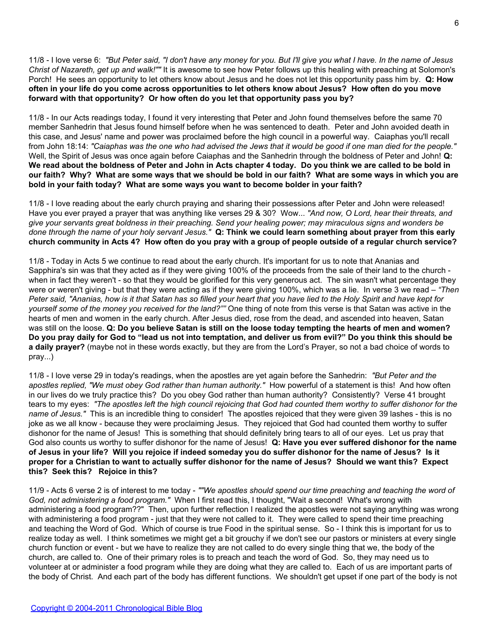11/8 - I love verse 6: *"But Peter said, "I don't have any money for you. But I'll give you what I have. In the name of Jesus Christ of Nazareth, get up and walk!""* It is awesome to see how Peter follows up this healing with preaching at Solomon's Porch! He sees an opportunity to let others know about Jesus and he does not let this opportunity pass him by. **Q: How often in your life do you come across opportunities to let others know about Jesus? How often do you move forward with that opportunity? Or how often do you let that opportunity pass you by?**

11/8 - In our Acts readings today, I found it very interesting that Peter and John found themselves before the same 70 member Sanhedrin that Jesus found himself before when he was sentenced to death. Peter and John avoided death in this case, and Jesus' name and power was proclaimed before the high council in a powerful way. Caiaphas you'll recall from John 18:14: *"Caiaphas was the one who had advised the Jews that it would be good if one man died for the people."* Well, the Spirit of Jesus was once again before Caiaphas and the Sanhedrin through the boldness of Peter and John! **Q: We read about the boldness of Peter and John in Acts chapter 4 today. Do you think we are called to be bold in our faith? Why? What are some ways that we should be bold in our faith? What are some ways in which you are bold in your faith today? What are some ways you want to become bolder in your faith?**

11/8 - I love reading about the early church praying and sharing their possessions after Peter and John were released! Have you ever prayed a prayer that was anything like verses 29 & 30? Wow... *"And now, O Lord, hear their threats, and give your servants great boldness in their preaching. Send your healing power; may miraculous signs and wonders be done through the name of your holy servant Jesus."* **Q: Think we could learn something about prayer from this early church community in Acts 4? How often do you pray with a group of people outside of a regular church service?**

11/8 - Today in Acts 5 we continue to read about the early church. It's important for us to note that Ananias and Sapphira's sin was that they acted as if they were giving 100% of the proceeds from the sale of their land to the church when in fact they weren't - so that they would be glorified for this very generous act. The sin wasn't what percentage they were or weren't giving - but that they were acting as if they were giving 100%, which was a lie. In verse 3 we read – *"Then Peter said, "Ananias, how is it that Satan has so filled your heart that you have lied to the Holy Spirit and have kept for yourself some of the money you received for the land?""* One thing of note from this verse is that Satan was active in the hearts of men and women in the early church. After Jesus died, rose from the dead, and ascended into heaven, Satan was still on the loose. **Q: Do you believe Satan is still on the loose today tempting the hearts of men and women? Do you pray daily for God to "lead us not into temptation, and deliver us from evil?" Do you think this should be a daily prayer?** (maybe not in these words exactly, but they are from the Lord's Prayer, so not a bad choice of words to pray...)

11/8 - I love verse 29 in today's readings, when the apostles are yet again before the Sanhedrin: *"But Peter and the apostles replied, "We must obey God rather than human authority."* How powerful of a statement is this! And how often in our lives do we truly practice this? Do you obey God rather than human authority? Consistently? Verse 41 brought tears to my eyes: *"The apostles left the high council rejoicing that God had counted them worthy to suffer dishonor for the name of Jesus."* This is an incredible thing to consider! The apostles rejoiced that they were given 39 lashes - this is no joke as we all know - because they were proclaiming Jesus. They rejoiced that God had counted them worthy to suffer dishonor for the name of Jesus! This is something that should definitely bring tears to all of our eyes. Let us pray that God also counts us worthy to suffer dishonor for the name of Jesus! **Q: Have you ever suffered dishonor for the name of Jesus in your life? Will you rejoice if indeed someday you do suffer dishonor for the name of Jesus? Is it proper for a Christian to want to actually suffer dishonor for the name of Jesus? Should we want this? Expect this? Seek this? Rejoice in this?**

11/9 - Acts 6 verse 2 is of interest to me today - *""We apostles should spend our time preaching and teaching the word of God, not administering a food program."* When I first read this, I thought, "Wait a second! What's wrong with administering a food program??" Then, upon further reflection I realized the apostles were not saying anything was wrong with administering a food program - just that they were not called to it. They were called to spend their time preaching and teaching the Word of God. Which of course is true Food in the spiritual sense. So - I think this is important for us to realize today as well. I think sometimes we might get a bit grouchy if we don't see our pastors or ministers at every single church function or event - but we have to realize they are not called to do every single thing that we, the body of the church, are called to. One of their primary roles is to preach and teach the word of God. So, they may need us to volunteer at or administer a food program while they are doing what they are called to. Each of us are important parts of the body of Christ. And each part of the body has different functions. We shouldn't get upset if one part of the body is not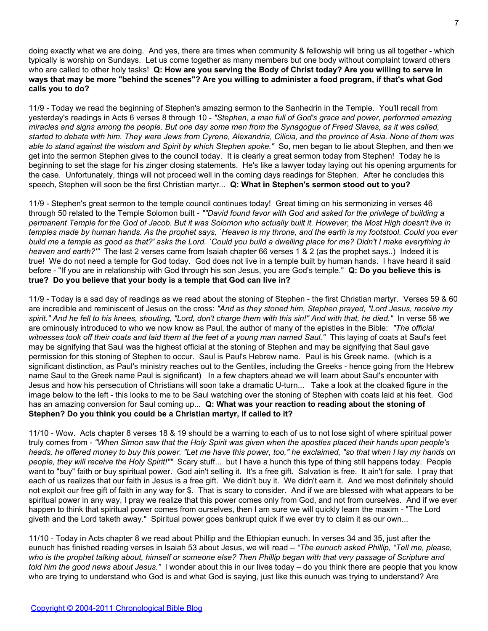doing exactly what we are doing. And yes, there are times when community & fellowship will bring us all together - which typically is worship on Sundays. Let us come together as many members but one body without complaint toward others who are called to other holy tasks! **Q: How are you serving the Body of Christ today? Are you willing to serve in ways that may be more "behind the scenes"? Are you willing to administer a food program, if that's what God calls you to do?**

11/9 - Today we read the beginning of Stephen's amazing sermon to the Sanhedrin in the Temple. You'll recall from yesterday's readings in Acts 6 verses 8 through 10 - *"Stephen, a man full of God's grace and power, performed amazing miracles and signs among the people. But one day some men from the Synagogue of Freed Slaves, as it was called, started to debate with him. They were Jews from Cyrene, Alexandria, Cilicia, and the province of Asia. None of them was able to stand against the wisdom and Spirit by which Stephen spoke."* So, men began to lie about Stephen, and then we get into the sermon Stephen gives to the council today. It is clearly a great sermon today from Stephen! Today he is beginning to set the stage for his zinger closing statements. He's like a lawyer today laying out his opening arguments for the case. Unfortunately, things will not proceed well in the coming days readings for Stephen. After he concludes this speech, Stephen will soon be the first Christian martyr... **Q: What in Stephen's sermon stood out to you?**

11/9 - Stephen's great sermon to the temple council continues today! Great timing on his sermonizing in verses 46 through 50 related to the Temple Solomon built - *""David found favor with God and asked for the privilege of building a permanent Temple for the God of Jacob. But it was Solomon who actually built it. However, the Most High doesn't live in temples made by human hands. As the prophet says, `Heaven is my throne, and the earth is my footstool. Could you ever build me a temple as good as that?' asks the Lord. `Could you build a dwelling place for me? Didn't I make everything in heaven and earth?'"* The last 2 verses came from Isaiah chapter 66 verses 1 & 2 (as the prophet says..) Indeed it is true! We do not need a temple for God today. God does not live in a temple built by human hands. I have heard it said before - "If you are in relationship with God through his son Jesus, you are God's temple." **Q: Do you believe this is true? Do you believe that your body is a temple that God can live in?**

11/9 - Today is a sad day of readings as we read about the stoning of Stephen - the first Christian martyr. Verses 59 & 60 are incredible and reminiscent of Jesus on the cross: *"And as they stoned him, Stephen prayed, "Lord Jesus, receive my spirit." And he fell to his knees, shouting, "Lord, don't charge them with this sin!" And with that, he died."* In verse 58 we are ominously introduced to who we now know as Paul, the author of many of the epistles in the Bible: *"The official witnesses took off their coats and laid them at the feet of a young man named Saul."* This laying of coats at Saul's feet may be signifying that Saul was the highest official at the stoning of Stephen and may be signifying that Saul gave permission for this stoning of Stephen to occur. Saul is Paul's Hebrew name. Paul is his Greek name. (which is a significant distinction, as Paul's ministry reaches out to the Gentiles, including the Greeks - hence going from the Hebrew name Saul to the Greek name Paul is significant) In a few chapters ahead we will learn about Saul's encounter with Jesus and how his persecution of Christians will soon take a dramatic U-turn... Take a look at the cloaked figure in the image below to the left - this looks to me to be Saul watching over the stoning of Stephen with coats laid at his feet. God has an amazing conversion for Saul coming up... **Q: What was your reaction to reading about the stoning of Stephen? Do you think you could be a Christian martyr, if called to it?**

11/10 - Wow. Acts chapter 8 verses 18 & 19 should be a warning to each of us to not lose sight of where spiritual power truly comes from - *"When Simon saw that the Holy Spirit was given when the apostles placed their hands upon people's heads, he offered money to buy this power. "Let me have this power, too," he exclaimed, "so that when I lay my hands on people, they will receive the Holy Spirit!""* Scary stuff... but I have a hunch this type of thing still happens today. People want to "buy" faith or buy spiritual power. God ain't selling it. It's a free gift. Salvation is free. It ain't for sale. I pray that each of us realizes that our faith in Jesus is a free gift. We didn't buy it. We didn't earn it. And we most definitely should not exploit our free gift of faith in any way for \$. That is scary to consider. And if we are blessed with what appears to be spiritual power in any way, I pray we realize that this power comes only from God, and not from ourselves. And if we ever happen to think that spiritual power comes from ourselves, then I am sure we will quickly learn the maxim - "The Lord giveth and the Lord taketh away." Spiritual power goes bankrupt quick if we ever try to claim it as our own...

11/10 - Today in Acts chapter 8 we read about Phillip and the Ethiopian eunuch. In verses 34 and 35, just after the eunuch has finished reading verses in Isaiah 53 about Jesus, we will read – *"The eunuch asked Phillip, "Tell me, please, who is the prophet talking about, himself or someone else? Then Phillip began with that very passage of Scripture and told him the good news about Jesus."* I wonder about this in our lives today – do you think there are people that you know who are trying to understand who God is and what God is saying, just like this eunuch was trying to understand? Are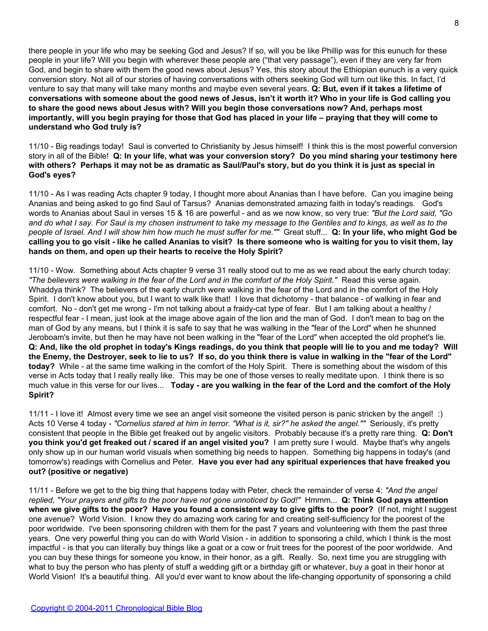there people in your life who may be seeking God and Jesus? If so, will you be like Phillip was for this eunuch for these people in your life? Will you begin with wherever these people are ("that very passage"), even if they are very far from God, and begin to share with them the good news about Jesus? Yes, this story about the Ethiopian eunuch is a very quick conversion story. Not all of our stories of having conversations with others seeking God will turn out like this. In fact, I'd venture to say that many will take many months and maybe even several years. **Q: But, even if it takes a lifetime of conversations with someone about the good news of Jesus, isn't it worth it? Who in your life is God calling you to share the good news about Jesus with? Will you begin those conversations now? And, perhaps most importantly, will you begin praying for those that God has placed in your life – praying that they will come to understand who God truly is?**

11/10 - Big readings today! Saul is converted to Christianity by Jesus himself! I think this is the most powerful conversion story in all of the Bible! **Q: In your life, what was your conversion story? Do you mind sharing your testimony here with others? Perhaps it may not be as dramatic as Saul/Paul's story, but do you think it is just as special in God's eyes?**

11/10 - As I was reading Acts chapter 9 today, I thought more about Ananias than I have before. Can you imagine being Ananias and being asked to go find Saul of Tarsus? Ananias demonstrated amazing faith in today's readings. God's words to Ananias about Saul in verses 15 & 16 are powerful - and as we now know, so very true: *"But the Lord said, "Go and do what I say. For Saul is my chosen instrument to take my message to the Gentiles and to kings, as well as to the people of Israel. And I will show him how much he must suffer for me.""* Great stuff... **Q: In your life, who might God be calling you to go visit - like he called Ananias to visit? Is there someone who is waiting for you to visit them, lay hands on them, and open up their hearts to receive the Holy Spirit?**

11/10 - Wow. Something about Acts chapter 9 verse 31 really stood out to me as we read about the early church today: *"The believers were walking in the fear of the Lord and in the comfort of the Holy Spirit."* Read this verse again. Whaddya think? The believers of the early church were walking in the fear of the Lord and in the comfort of the Holy Spirit. I don't know about you, but I want to walk like that! I love that dichotomy - that balance - of walking in fear and comfort. No - don't get me wrong - I'm not talking about a fraidy-cat type of fear. But I am talking about a healthy / respectful fear - I mean, just look at the image above again of the lion and the man of God. I don't mean to bag on the man of God by any means, but I think it is safe to say that he was walking in the "fear of the Lord" when he shunned Jeroboam's invite, but then he may have not been walking in the "fear of the Lord" when accepted the old prophet's lie. **Q: And, like the old prophet in today's Kings readings, do you think that people will lie to you and me today? Will the Enemy, the Destroyer, seek to lie to us? If so, do you think there is value in walking in the "fear of the Lord" today?** While - at the same time walking in the comfort of the Holy Spirit. There is something about the wisdom of this verse in Acts today that I really really like. This may be one of those verses to really meditate upon. I think there is so much value in this verse for our lives... **Today - are you walking in the fear of the Lord and the comfort of the Holy Spirit?**

11/11 - I love it! Almost every time we see an angel visit someone the visited person is panic stricken by the angel! :) Acts 10 Verse 4 today - *"Cornelius stared at him in terror. "What is it, sir?" he asked the angel.""* Seriously, it's pretty consistent that people in the Bible get freaked out by angelic visitors. Probably because it's a pretty rare thing. **Q: Don't you think you'd get freaked out / scared if an angel visited you?** I am pretty sure I would. Maybe that's why angels only show up in our human world visuals when something big needs to happen. Something big happens in today's (and tomorrow's) readings with Cornelius and Peter. **Have you ever had any spiritual experiences that have freaked you out? (positive or negative)**

11/11 - Before we get to the big thing that happens today with Peter, check the remainder of verse 4: *"And the angel replied, "Your prayers and gifts to the poor have not gone unnoticed by God!"* Hmmm... **Q: Think God pays attention when we give gifts to the poor? Have you found a consistent way to give gifts to the poor?** (If not, might I suggest one avenue? World Vision. I know they do amazing work caring for and creating self-sufficiency for the poorest of the poor worldwide. I've been sponsoring children with them for the past 7 years and volunteering with them the past three years. One very powerful thing you can do with World Vision - in addition to sponsoring a child, which I think is the most impactful - is that you can literally buy things like a goat or a cow or fruit trees for the poorest of the poor worldwide. And you can buy these things for someone you know, in their honor, as a gift. Really. So, next time you are struggling with what to buy the person who has plenty of stuff a wedding gift or a birthday gift or whatever, buy a goat in their honor at World Vision! It's a beautiful thing. All you'd ever want to know about the life-changing opportunity of sponsoring a child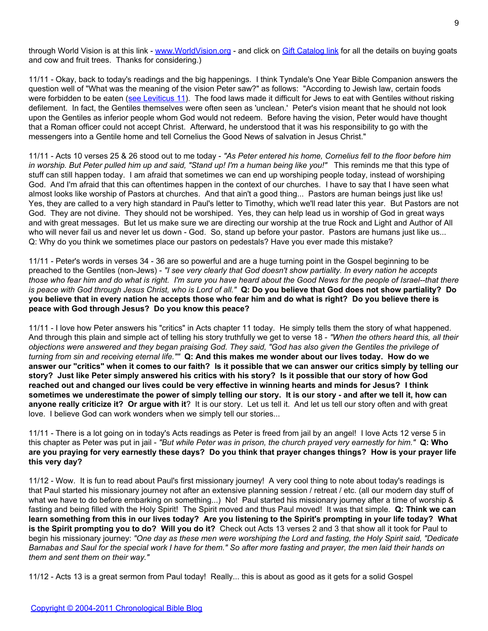through World Vision is at this link - [www.WorldVision.org](http://www.worldvision.org/) - and click on [Gift Catalog link](http://donate.worldvision.org/OA_HTML/xxwv2ibeCCtpSctDspRte.jsp?xxwvNavItemId=0§ion=10389&go=section&) for all the details on buying goats and cow and fruit trees. Thanks for considering.)

11/11 - Okay, back to today's readings and the big happenings. I think Tyndale's One Year Bible Companion answers the question well of "What was the meaning of the vision Peter saw?" as follows: "According to Jewish law, certain foods were forbidden to be eaten ([see Leviticus 11\)](http://www.biblegateway.com/passage/?search=leviticus%2011). The food laws made it difficult for Jews to eat with Gentiles without risking defilement. In fact, the Gentiles themselves were often seen as 'unclean.' Peter's vision meant that he should not look upon the Gentiles as inferior people whom God would not redeem. Before having the vision, Peter would have thought that a Roman officer could not accept Christ. Afterward, he understood that it was his responsibility to go with the messengers into a Gentile home and tell Cornelius the Good News of salvation in Jesus Christ."

11/11 - Acts 10 verses 25 & 26 stood out to me today - *"As Peter entered his home, Cornelius fell to the floor before him in worship. But Peter pulled him up and said, "Stand up! I'm a human being like you!"* This reminds me that this type of stuff can still happen today. I am afraid that sometimes we can end up worshiping people today, instead of worshiping God. And I'm afraid that this can oftentimes happen in the context of our churches. I have to say that I have seen what almost looks like worship of Pastors at churches. And that ain't a good thing... Pastors are human beings just like us! Yes, they are called to a very high standard in Paul's letter to Timothy, which we'll read later this year. But Pastors are not God. They are not divine. They should not be worshiped. Yes, they can help lead us in worship of God in great ways and with great messages. But let us make sure we are directing our worship at the true Rock and Light and Author of All who will never fail us and never let us down - God. So, stand up before your pastor. Pastors are humans just like us... Q: Why do you think we sometimes place our pastors on pedestals? Have you ever made this mistake?

11/11 - Peter's words in verses 34 - 36 are so powerful and are a huge turning point in the Gospel beginning to be preached to the Gentiles (non-Jews) - *"I see very clearly that God doesn't show partiality. In every nation he accepts those who fear him and do what is right. I'm sure you have heard about the Good News for the people of Israel--that there is peace with God through Jesus Christ, who is Lord of all."* **Q: Do you believe that God does not show partiality? Do you believe that in every nation he accepts those who fear him and do what is right? Do you believe there is peace with God through Jesus? Do you know this peace?**

11/11 - I love how Peter answers his "critics" in Acts chapter 11 today. He simply tells them the story of what happened. And through this plain and simple act of telling his story truthfully we get to verse 18 - *"When the others heard this, all their objections were answered and they began praising God. They said, "God has also given the Gentiles the privilege of turning from sin and receiving eternal life.""* **Q: And this makes me wonder about our lives today. How do we answer our "critics" when it comes to our faith? Is it possible that we can answer our critics simply by telling our story? Just like Peter simply answered his critics with his story? Is it possible that our story of how God reached out and changed our lives could be very effective in winning hearts and minds for Jesus? I think sometimes we underestimate the power of simply telling our story. It is our story - and after we tell it, how can anyone really criticize it? Or argue with it**? It is our story. Let us tell it. And let us tell our story often and with great love. I believe God can work wonders when we simply tell our stories...

11/11 - There is a lot going on in today's Acts readings as Peter is freed from jail by an angel! I love Acts 12 verse 5 in this chapter as Peter was put in jail - *"But while Peter was in prison, the church prayed very earnestly for him."* **Q: Who are you praying for very earnestly these days? Do you think that prayer changes things? How is your prayer life this very day?**

11/12 - Wow. It is fun to read about Paul's first missionary journey! A very cool thing to note about today's readings is that Paul started his missionary journey not after an extensive planning session / retreat / etc. (all our modern day stuff of what we have to do before embarking on something...) No! Paul started his missionary journey after a time of worship & fasting and being filled with the Holy Spirit! The Spirit moved and thus Paul moved! It was that simple. **Q: Think we can learn something from this in our lives today? Are you listening to the Spirit's prompting in your life today? What is the Spirit prompting you to do? Will you do it?** Check out Acts 13 verses 2 and 3 that show all it took for Paul to begin his missionary journey: *"One day as these men were worshiping the Lord and fasting, the Holy Spirit said, "Dedicate Barnabas and Saul for the special work I have for them." So after more fasting and prayer, the men laid their hands on them and sent them on their way."*

11/12 - Acts 13 is a great sermon from Paul today! Really... this is about as good as it gets for a solid Gospel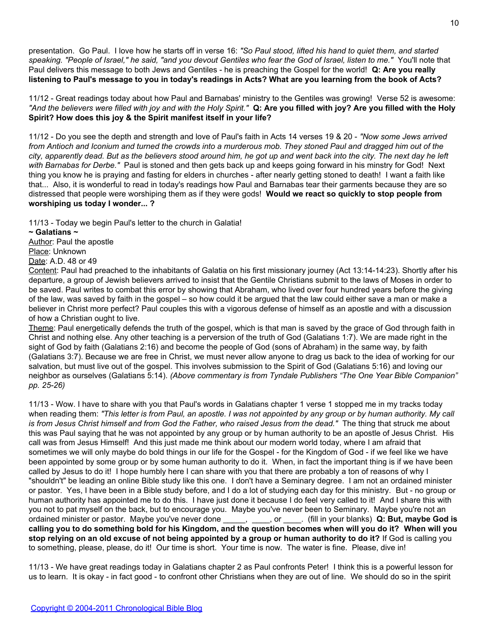presentation. Go Paul. I love how he starts off in verse 16: *"So Paul stood, lifted his hand to quiet them, and started speaking. "People of Israel," he said, "and you devout Gentiles who fear the God of Israel, listen to me."* You'll note that Paul delivers this message to both Jews and Gentiles - he is preaching the Gospel for the world! **Q: Are you really listening to Paul's message to you in today's readings in Acts? What are you learning from the book of Acts?**

11/12 - Great readings today about how Paul and Barnabas' ministry to the Gentiles was growing! Verse 52 is awesome: *"And the believers were filled with joy and with the Holy Spirit."* **Q: Are you filled with joy? Are you filled with the Holy Spirit? How does this joy & the Spirit manifest itself in your life?**

11/12 - Do you see the depth and strength and love of Paul's faith in Acts 14 verses 19 & 20 - *"Now some Jews arrived from Antioch and Iconium and turned the crowds into a murderous mob. They stoned Paul and dragged him out of the city, apparently dead. But as the believers stood around him, he got up and went back into the city. The next day he left with Barnabas for Derbe."* Paul is stoned and then gets back up and keeps going forward in his minstry for God! Next thing you know he is praying and fasting for elders in churches - after nearly getting stoned to death! I want a faith like that... Also, it is wonderful to read in today's readings how Paul and Barnabas tear their garments because they are so distressed that people were worshiping them as if they were gods! **Would we react so quickly to stop people from worshiping us today I wonder... ?**

11/13 - Today we begin Paul's letter to the church in Galatia!

**~ Galatians ~**

Author: Paul the apostle Place: Unknown

Date: A.D. 48 or 49

Content: Paul had preached to the inhabitants of Galatia on his first missionary journey (Act 13:14-14:23). Shortly after his departure, a group of Jewish believers arrived to insist that the Gentile Christians submit to the laws of Moses in order to be saved. Paul writes to combat this error by showing that Abraham, who lived over four hundred years before the giving of the law, was saved by faith in the gospel – so how could it be argued that the law could either save a man or make a believer in Christ more perfect? Paul couples this with a vigorous defense of himself as an apostle and with a discussion of how a Christian ought to live.

Theme: Paul energetically defends the truth of the gospel, which is that man is saved by the grace of God through faith in Christ and nothing else. Any other teaching is a perversion of the truth of God (Galatians 1:7). We are made right in the sight of God by faith (Galatians 2:16) and become the people of God (sons of Abraham) in the same way, by faith (Galatians 3:7). Because we are free in Christ, we must never allow anyone to drag us back to the idea of working for our salvation, but must live out of the gospel. This involves submission to the Spirit of God (Galatians 5:16) and loving our neighbor as ourselves (Galatians 5:14). *(Above commentary is from Tyndale Publishers "The One Year Bible Companion" pp. 25-26)*

11/13 - Wow. I have to share with you that Paul's words in Galatians chapter 1 verse 1 stopped me in my tracks today when reading them: *"This letter is from Paul, an apostle. I was not appointed by any group or by human authority. My call is from Jesus Christ himself and from God the Father, who raised Jesus from the dead."* The thing that struck me about this was Paul saying that he was not appointed by any group or by human authority to be an apostle of Jesus Christ. His call was from Jesus Himself! And this just made me think about our modern world today, where I am afraid that sometimes we will only maybe do bold things in our life for the Gospel - for the Kingdom of God - if we feel like we have been appointed by some group or by some human authority to do it. When, in fact the important thing is if we have been called by Jesus to do it! I hope humbly here I can share with you that there are probably a ton of reasons of why I "shouldn't" be leading an online Bible study like this one. I don't have a Seminary degree. I am not an ordained minister or pastor. Yes, I have been in a Bible study before, and I do a lot of studying each day for this ministry. But - no group or human authority has appointed me to do this. I have just done it because I do feel very called to it! And I share this with you not to pat myself on the back, but to encourage you. Maybe you've never been to Seminary. Maybe you're not an ordained minister or pastor. Maybe you've never done \_\_\_\_\_, \_\_\_\_, or \_\_\_\_. (fill in your blanks) **Q: But, maybe God is calling you to do something bold for his Kingdom, and the question becomes when will you do it? When will you stop relying on an old excuse of not being appointed by a group or human authority to do it?** If God is calling you to something, please, please, do it! Our time is short. Your time is now. The water is fine. Please, dive in!

11/13 - We have great readings today in Galatians chapter 2 as Paul confronts Peter! I think this is a powerful lesson for us to learn. It is okay - in fact good - to confront other Christians when they are out of line. We should do so in the spirit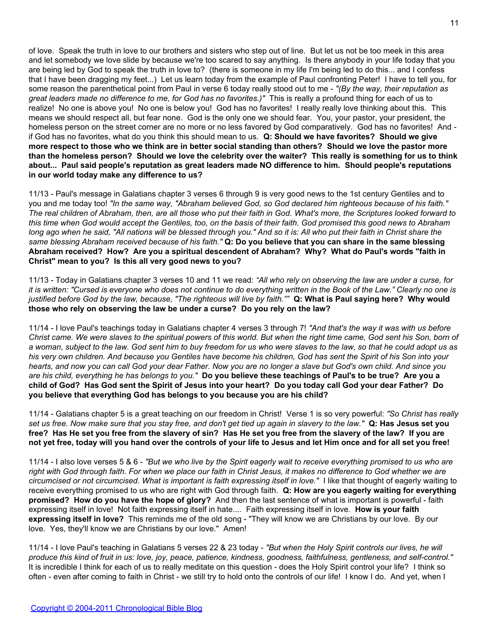of love. Speak the truth in love to our brothers and sisters who step out of line. But let us not be too meek in this area and let somebody we love slide by because we're too scared to say anything. Is there anybody in your life today that you are being led by God to speak the truth in love to? (there is someone in my life I'm being led to do this... and I confess that I have been dragging my feet...) Let us learn today from the example of Paul confronting Peter! I have to tell you, for some reason the parenthetical point from Paul in verse 6 today really stood out to me - *"(By the way, their reputation as great leaders made no difference to me, for God has no favorites.)"* This is really a profound thing for each of us to realize! No one is above you! No one is below you! God has no favorites! I really really love thinking about this. This means we should respect all, but fear none. God is the only one we should fear. You, your pastor, your president, the homeless person on the street corner are no more or no less favored by God comparatively. God has no favorites! And if God has no favorites, what do you think this should mean to us. **Q: Should we have favorites? Should we give more respect to those who we think are in better social standing than others? Should we love the pastor more than the homeless person? Should we love the celebrity over the waiter? This really is something for us to think about... Paul said people's reputation as great leaders made NO difference to him. Should people's reputations in our world today make any difference to us?**

11/13 - Paul's message in Galatians chapter 3 verses 6 through 9 is very good news to the 1st century Gentiles and to you and me today too! *"In the same way, "Abraham believed God, so God declared him righteous because of his faith." The real children of Abraham, then, are all those who put their faith in God. What's more, the Scriptures looked forward to this time when God would accept the Gentiles, too, on the basis of their faith. God promised this good news to Abraham long ago when he said, "All nations will be blessed through you." And so it is: All who put their faith in Christ share the same blessing Abraham received because of his faith."* **Q: Do you believe that you can share in the same blessing Abraham received? How? Are you a spiritual descendent of Abraham? Why? What do Paul's words "faith in Christ" mean to you? Is this all very good news to you?**

11/13 - Today in Galatians chapter 3 verses 10 and 11 we read: *"All who rely on observing the law are under a curse, for it is written: "Cursed is everyone who does not continue to do everything written in the Book of the Law." Clearly no one is justified before God by the law, because, "The righteous will live by faith.""* **Q: What is Paul saying here? Why would those who rely on observing the law be under a curse? Do you rely on the law?**

11/14 - I love Paul's teachings today in Galatians chapter 4 verses 3 through 7! *"And that's the way it was with us before Christ came. We were slaves to the spiritual powers of this world. But when the right time came, God sent his Son, born of a woman, subject to the law. God sent him to buy freedom for us who were slaves to the law, so that he could adopt us as his very own children. And because you Gentiles have become his children, God has sent the Spirit of his Son into your hearts, and now you can call God your dear Father. Now you are no longer a slave but God's own child. And since you are his child, everything he has belongs to you."* **Do you believe these teachings of Paul's to be true? Are you a child of God? Has God sent the Spirit of Jesus into your heart? Do you today call God your dear Father? Do you believe that everything God has belongs to you because you are his child?**

11/14 - Galatians chapter 5 is a great teaching on our freedom in Christ! Verse 1 is so very powerful: *"So Christ has really set us free. Now make sure that you stay free, and don't get tied up again in slavery to the law."* **Q: Has Jesus set you free? Has He set you free from the slavery of sin? Has He set you free from the slavery of the law? If you are not yet free, today will you hand over the controls of your life to Jesus and let Him once and for all set you free!**

11/14 - I also love verses 5 & 6 - *"But we who live by the Spirit eagerly wait to receive everything promised to us who are right with God through faith. For when we place our faith in Christ Jesus, it makes no difference to God whether we are circumcised or not circumcised. What is important is faith expressing itself in love."* I like that thought of eagerly waiting to receive everything promised to us who are right with God through faith. **Q: How are you eagerly waiting for everything promised? How do you have the hope of glory?** And then the last sentence of what is important is powerful - faith expressing itself in love! Not faith expressing itself in hate.... Faith expressing itself in love. **How is your faith expressing itself in love?** This reminds me of the old song - "They will know we are Christians by our love. By our love. Yes, they'll know we are Christians by our love." Amen!

11/14 - I love Paul's teaching in Galatians 5 verses 22 & 23 today - *"But when the Holy Spirit controls our lives, he will produce this kind of fruit in us: love, joy, peace, patience, kindness, goodness, faithfulness, gentleness, and self-control."* It is incredible I think for each of us to really meditate on this question - does the Holy Spirit control your life? I think so often - even after coming to faith in Christ - we still try to hold onto the controls of our life! I know I do. And yet, when I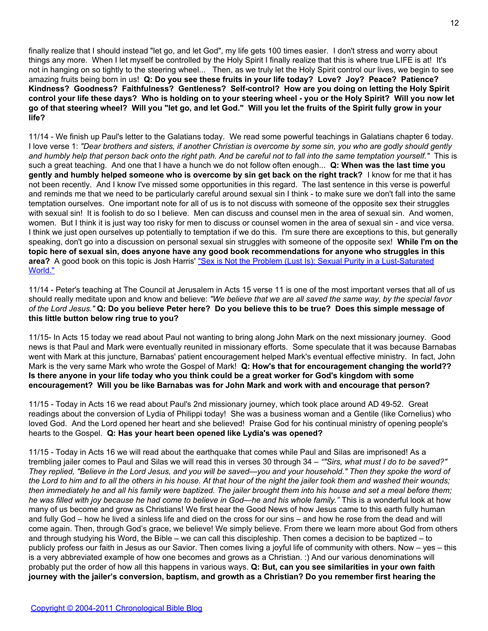finally realize that I should instead "let go, and let God", my life gets 100 times easier. I don't stress and worry about things any more. When I let myself be controlled by the Holy Spirit I finally realize that this is where true LIFE is at! It's not in hanging on so tightly to the steering wheel... Then, as we truly let the Holy Spirit control our lives, we begin to see amazing fruits being born in us! **Q: Do you see these fruits in your life today? Love? Joy? Peace? Patience? Kindness? Goodness? Faithfulness? Gentleness? Self-control? How are you doing on letting the Holy Spirit control your life these days? Who is holding on to your steering wheel - you or the Holy Spirit? Will you now let go of that steering wheel? Will you "let go, and let God." Will you let the fruits of the Spirit fully grow in your life?**

11/14 - We finish up Paul's letter to the Galatians today. We read some powerful teachings in Galatians chapter 6 today. I love verse 1: *"Dear brothers and sisters, if another Christian is overcome by some sin, you who are godly should gently and humbly help that person back onto the right path. And be careful not to fall into the same temptation yourself."* This is such a great teaching. And one that I have a hunch we do not follow often enough... **Q: When was the last time you gently and humbly helped someone who is overcome by sin get back on the right track?** I know for me that it has not been recently. And I know I've missed some opportunities in this regard. The last sentence in this verse is powerful and reminds me that we need to be particularly careful around sexual sin I think - to make sure we don't fall into the same temptation ourselves. One important note for all of us is to not discuss with someone of the opposite sex their struggles with sexual sin! It is foolish to do so I believe. Men can discuss and counsel men in the area of sexual sin. And women, women. But I think it is just way too risky for men to discuss or counsel women in the area of sexual sin - and vice versa. I think we just open ourselves up potentially to temptation if we do this. I'm sure there are exceptions to this, but generally speaking, don't go into a discussion on personal sexual sin struggles with someone of the opposite sex! **While I'm on the topic here of sexual sin, does anyone have any good book recommendations for anyone who struggles in this area?** A good book on this topic is Josh Harris' ["Sex is Not the Problem \(Lust Is\): Sexual Purity in a Lust-Saturated](http://www.amazon.com/Sex-Not-Problem-Lust-Lust-Saturated/dp/1590525191/) [World."](http://www.amazon.com/Sex-Not-Problem-Lust-Lust-Saturated/dp/1590525191/)

11/14 - Peter's teaching at The Council at Jerusalem in Acts 15 verse 11 is one of the most important verses that all of us should really meditate upon and know and believe: *"We believe that we are all saved the same way, by the special favor of the Lord Jesus."* **Q: Do you believe Peter here? Do you believe this to be true? Does this simple message of this little button below ring true to you?**

11/15- In Acts 15 today we read about Paul not wanting to bring along John Mark on the next missionary journey. Good news is that Paul and Mark were eventually reunited in missionary efforts. Some speculate that it was because Barnabas went with Mark at this juncture, Barnabas' patient encouragement helped Mark's eventual effective ministry. In fact, John Mark is the very same Mark who wrote the Gospel of Mark! **Q: How's that for encouragement changing the world?? Is there anyone in your life today who you think could be a great worker for God's kingdom with some encouragement? Will you be like Barnabas was for John Mark and work with and encourage that person?**

11/15 - Today in Acts 16 we read about Paul's 2nd missionary journey, which took place around AD 49-52. Great readings about the conversion of Lydia of Philippi today! She was a business woman and a Gentile (like Cornelius) who loved God. And the Lord opened her heart and she believed! Praise God for his continual ministry of opening people's hearts to the Gospel. **Q: Has your heart been opened like Lydia's was opened?**

11/15 - Today in Acts 16 we will read about the earthquake that comes while Paul and Silas are imprisoned! As a trembling jailer comes to Paul and Silas we will read this in verses 30 through 34 – *""Sirs, what must I do to be saved?" They replied, "Believe in the Lord Jesus, and you will be saved—you and your household." Then they spoke the word of the Lord to him and to all the others in his house. At that hour of the night the jailer took them and washed their wounds; then immediately he and all his family were baptized. The jailer brought them into his house and set a meal before them; he was filled with joy because he had come to believe in God—he and his whole family."* This is a wonderful look at how many of us become and grow as Christians! We first hear the Good News of how Jesus came to this earth fully human and fully God – how he lived a sinless life and died on the cross for our sins – and how he rose from the dead and will come again. Then, through God's grace, we believe! We simply believe. From there we learn more about God from others and through studying his Word, the Bible – we can call this discipleship. Then comes a decision to be baptized – to publicly profess our faith in Jesus as our Savior. Then comes living a joyful life of community with others. Now – yes – this is a very abbreviated example of how one becomes and grows as a Christian. :) And our various denominations will probably put the order of how all this happens in various ways. **Q: But, can you see similarities in your own faith journey with the jailer's conversion, baptism, and growth as a Christian? Do you remember first hearing the**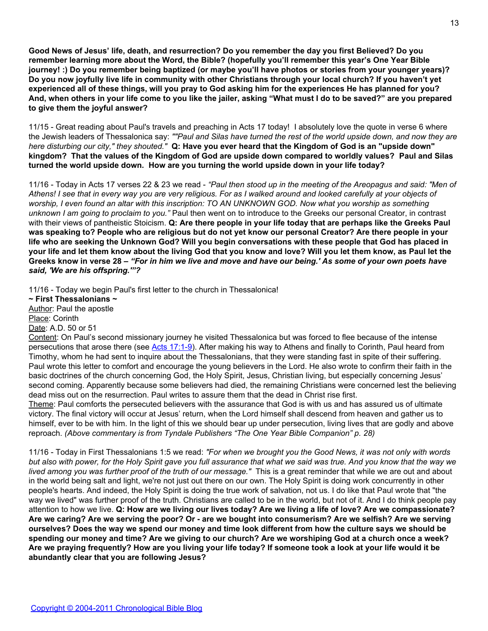**Good News of Jesus' life, death, and resurrection? Do you remember the day you first Believed? Do you remember learning more about the Word, the Bible? (hopefully you'll remember this year's One Year Bible journey! :) Do you remember being baptized (or maybe you'll have photos or stories from your younger years)? Do you now joyfully live life in community with other Christians through your local church? If you haven't yet experienced all of these things, will you pray to God asking him for the experiences He has planned for you? And, when others in your life come to you like the jailer, asking "What must I do to be saved?" are you prepared to give them the joyful answer?**

11/15 - Great reading about Paul's travels and preaching in Acts 17 today! I absolutely love the quote in verse 6 where the Jewish leaders of Thessalonica say: *""Paul and Silas have turned the rest of the world upside down, and now they are here disturbing our city," they shouted."* **Q: Have you ever heard that the Kingdom of God is an "upside down" kingdom? That the values of the Kingdom of God are upside down compared to worldly values? Paul and Silas turned the world upside down. How are you turning the world upside down in your life today?**

11/16 - Today in Acts 17 verses 22 & 23 we read - *"Paul then stood up in the meeting of the Areopagus and said: "Men of Athens! I see that in every way you are very religious. For as I walked around and looked carefully at your objects of worship, I even found an altar with this inscription: TO AN UNKNOWN GOD. Now what you worship as something unknown I am going to proclaim to you."* Paul then went on to introduce to the Greeks our personal Creator, in contrast with their views of pantheistic Stoicism. **Q: Are there people in your life today that are perhaps like the Greeks Paul was speaking to? People who are religious but do not yet know our personal Creator? Are there people in your life who are seeking the Unknown God? Will you begin conversations with these people that God has placed in your life and let them know about the living God that you know and love? Will you let them know, as Paul let the Greeks know in verse 28 –** *"For in him we live and move and have our being.' As some of your own poets have said, 'We are his offspring.'"?*

11/16 - Today we begin Paul's first letter to the church in Thessalonica!

**~ First Thessalonians ~** Author: Paul the apostle Place: Corinth Date: A.D. 50 or 51

Content: On Paul's second missionary journey he visited Thessalonica but was forced to flee because of the intense persecutions that arose there (see [Acts 17:1-9](http://www.biblegateway.com/passage/?search=act%2017:1-9)). After making his way to Athens and finally to Corinth, Paul heard from Timothy, whom he had sent to inquire about the Thessalonians, that they were standing fast in spite of their suffering. Paul wrote this letter to comfort and encourage the young believers in the Lord. He also wrote to confirm their faith in the basic doctrines of the church concerning God, the Holy Spirit, Jesus, Christian living, but especially concerning Jesus' second coming. Apparently because some believers had died, the remaining Christians were concerned lest the believing dead miss out on the resurrection. Paul writes to assure them that the dead in Christ rise first.

Theme: Paul comforts the persecuted believers with the assurance that God is with us and has assured us of ultimate victory. The final victory will occur at Jesus' return, when the Lord himself shall descend from heaven and gather us to himself, ever to be with him. In the light of this we should bear up under persecution, living lives that are godly and above reproach. *(Above commentary is from Tyndale Publishers "The One Year Bible Companion" p. 28)*

11/16 - Today in First Thessalonians 1:5 we read: *"For when we brought you the Good News, it was not only with words but also with power, for the Holy Spirit gave you full assurance that what we said was true. And you know that the way we lived among you was further proof of the truth of our message."* This is a great reminder that while we are out and about in the world being salt and light, we're not just out there on our own. The Holy Spirit is doing work concurrently in other people's hearts. And indeed, the Holy Spirit is doing the true work of salvation, not us. I do like that Paul wrote that "the way we lived" was further proof of the truth. Christians are called to be in the world, but not of it. And I do think people pay attention to how we live. **Q: How are we living our lives today? Are we living a life of love? Are we compassionate? Are we caring? Are we serving the poor? Or - are we bought into consumerism? Are we selfish? Are we serving ourselves? Does the way we spend our money and time look different from how the culture says we should be spending our money and time? Are we giving to our church? Are we worshiping God at a church once a week? Are we praying frequently? How are you living your life today? If someone took a look at your life would it be abundantly clear that you are following Jesus?**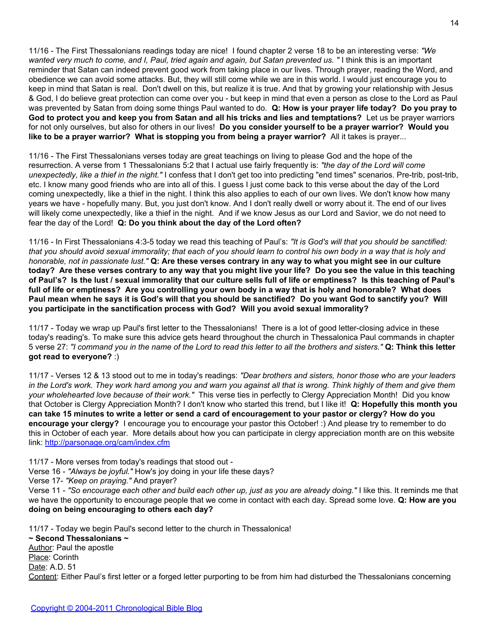11/16 - The First Thessalonians readings today are nice! I found chapter 2 verse 18 to be an interesting verse: *"We wanted very much to come, and I, Paul, tried again and again, but Satan prevented us. "* I think this is an important reminder that Satan can indeed prevent good work from taking place in our lives. Through prayer, reading the Word, and obedience we can avoid some attacks. But, they will still come while we are in this world. I would just encourage you to keep in mind that Satan is real. Don't dwell on this, but realize it is true. And that by growing your relationship with Jesus & God, I do believe great protection can come over you - but keep in mind that even a person as close to the Lord as Paul was prevented by Satan from doing some things Paul wanted to do. **Q: How is your prayer life today? Do you pray to God to protect you and keep you from Satan and all his tricks and lies and temptations?** Let us be prayer warriors for not only ourselves, but also for others in our lives! **Do you consider yourself to be a prayer warrior? Would you like to be a prayer warrior? What is stopping you from being a prayer warrior?** All it takes is prayer...

11/16 - The First Thessalonians verses today are great teachings on living to please God and the hope of the resurrection. A verse from 1 Thessalonians 5:2 that I actual use fairly frequently is: *"the day of the Lord will come unexpectedly, like a thief in the night."* I confess that I don't get too into predicting "end times" scenarios. Pre-trib, post-trib, etc. I know many good friends who are into all of this. I guess I just come back to this verse about the day of the Lord coming unexpectedly, like a thief in the night. I think this also applies to each of our own lives. We don't know how many years we have - hopefully many. But, you just don't know. And I don't really dwell or worry about it. The end of our lives will likely come unexpectedly, like a thief in the night. And if we know Jesus as our Lord and Savior, we do not need to fear the day of the Lord! **Q: Do you think about the day of the Lord often?**

11/16 - In First Thessalonians 4:3-5 today we read this teaching of Paul's: *"It is God's will that you should be sanctified: that you should avoid sexual immorality; that each of you should learn to control his own body in a way that is holy and honorable, not in passionate lust."* **Q: Are these verses contrary in any way to what you might see in our culture today? Are these verses contrary to any way that you might live your life? Do you see the value in this teaching of Paul's? Is the lust / sexual immorality that our culture sells full of life or emptiness? Is this teaching of Paul's full of life or emptiness? Are you controlling your own body in a way that is holy and honorable? What does Paul mean when he says it is God's will that you should be sanctified? Do you want God to sanctify you? Will you participate in the sanctification process with God? Will you avoid sexual immorality?**

11/17 - Today we wrap up Paul's first letter to the Thessalonians! There is a lot of good letter-closing advice in these today's reading's. To make sure this advice gets heard throughout the church in Thessalonica Paul commands in chapter 5 verse 27: *"I command you in the name of the Lord to read this letter to all the brothers and sisters."* **Q: Think this letter got read to everyone?** :)

11/17 - Verses 12 & 13 stood out to me in today's readings: *"Dear brothers and sisters, honor those who are your leaders in the Lord's work. They work hard among you and warn you against all that is wrong. Think highly of them and give them your wholehearted love because of their work."* This verse ties in perfectly to Clergy Appreciation Month! Did you know that October is Clergy Appreciation Month? I don't know who started this trend, but I like it! **Q: Hopefully this month you can take 15 minutes to write a letter or send a card of encouragement to your pastor or clergy? How do you encourage your clergy?** I encourage you to encourage your pastor this October! :) And please try to remember to do this in October of each year. More details about how you can participate in clergy appreciation month are on this website link: <http://parsonage.org/cam/index.cfm>

11/17 - More verses from today's readings that stood out -

Verse 16 - *"Always be joyful."* How's joy doing in your life these days?

Verse 17- *"Keep on praying."* And prayer?

Verse 11 - *"So encourage each other and build each other up, just as you are already doing."* I like this. It reminds me that we have the opportunity to encourage people that we come in contact with each day. Spread some love. **Q: How are you doing on being encouraging to others each day?**

11/17 - Today we begin Paul's second letter to the church in Thessalonica!

**~ Second Thessalonians ~** Author: Paul the apostle Place: Corinth Date: A.D. 51 Content: Either Paul's first letter or a forged letter purporting to be from him had disturbed the Thessalonians concerning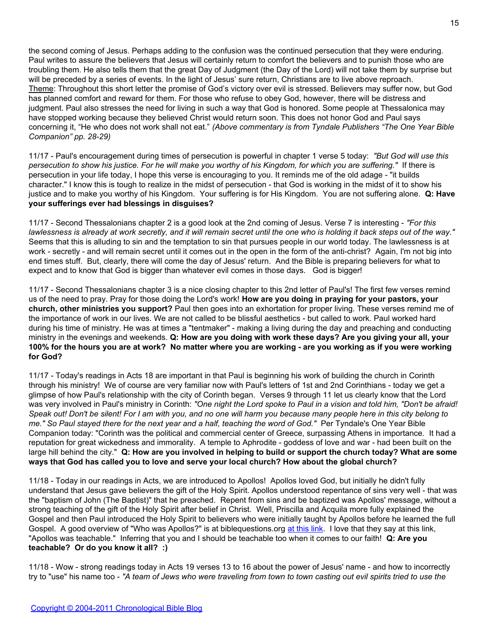the second coming of Jesus. Perhaps adding to the confusion was the continued persecution that they were enduring. Paul writes to assure the believers that Jesus will certainly return to comfort the believers and to punish those who are troubling them. He also tells them that the great Day of Judgment (the Day of the Lord) will not take them by surprise but will be preceded by a series of events. In the light of Jesus' sure return, Christians are to live above reproach. Theme: Throughout this short letter the promise of God's victory over evil is stressed. Believers may suffer now, but God has planned comfort and reward for them. For those who refuse to obey God, however, there will be distress and judgment. Paul also stresses the need for living in such a way that God is honored. Some people at Thessalonica may have stopped working because they believed Christ would return soon. This does not honor God and Paul says concerning it, "He who does not work shall not eat." *(Above commentary is from Tyndale Publishers "The One Year Bible Companion" pp. 28-29)*

11/17 - Paul's encouragement during times of persecution is powerful in chapter 1 verse 5 today: *"But God will use this persecution to show his justice. For he will make you worthy of his Kingdom, for which you are suffering."* If there is persecution in your life today, I hope this verse is encouraging to you. It reminds me of the old adage - "it builds character." I know this is tough to realize in the midst of persecution - that God is working in the midst of it to show his justice and to make you worthy of his Kingdom. Your suffering is for His Kingdom. You are not suffering alone. **Q: Have your sufferings ever had blessings in disguises?**

11/17 - Second Thessalonians chapter 2 is a good look at the 2nd coming of Jesus. Verse 7 is interesting - *"For this lawlessness is already at work secretly, and it will remain secret until the one who is holding it back steps out of the way."* Seems that this is alluding to sin and the temptation to sin that pursues people in our world today. The lawlessness is at work - secretly - and will remain secret until it comes out in the open in the form of the anti-christ? Again, I'm not big into end times stuff. But, clearly, there will come the day of Jesus' return. And the Bible is preparing believers for what to expect and to know that God is bigger than whatever evil comes in those days. God is bigger!

11/17 - Second Thessalonians chapter 3 is a nice closing chapter to this 2nd letter of Paul's! The first few verses remind us of the need to pray. Pray for those doing the Lord's work! **How are you doing in praying for your pastors, your church, other ministries you support?** Paul then goes into an exhortation for proper living. These verses remind me of the importance of work in our lives. We are not called to be blissful aesthetics - but called to work. Paul worked hard during his time of ministry. He was at times a "tentmaker" - making a living during the day and preaching and conducting ministry in the evenings and weekends. **Q: How are you doing with work these days? Are you giving your all, your 100% for the hours you are at work? No matter where you are working - are you working as if you were working for God?**

11/17 - Today's readings in Acts 18 are important in that Paul is beginning his work of building the church in Corinth through his ministry! We of course are very familiar now with Paul's letters of 1st and 2nd Corinthians - today we get a glimpse of how Paul's relationship with the city of Corinth began. Verses 9 through 11 let us clearly know that the Lord was very involved in Paul's ministry in Corinth: *"One night the Lord spoke to Paul in a vision and told him, "Don't be afraid! Speak out! Don't be silent! For I am with you, and no one will harm you because many people here in this city belong to me." So Paul stayed there for the next year and a half, teaching the word of God."* Per Tyndale's One Year Bible Companion today: "Corinth was the political and commercial center of Greece, surpassing Athens in importance. It had a reputation for great wickedness and immorality. A temple to Aphrodite - goddess of love and war - had been built on the large hill behind the city." **Q: How are you involved in helping to build or support the church today? What are some ways that God has called you to love and serve your local church? How about the global church?**

11/18 - Today in our readings in Acts, we are introduced to Apollos! Apollos loved God, but initially he didn't fully understand that Jesus gave believers the gift of the Holy Spirit. Apollos understood repentance of sins very well - that was the "baptism of John (The Baptist)" that he preached. Repent from sins and be baptized was Apollos' message, without a strong teaching of the gift of the Holy Spirit after belief in Christ. Well, Priscilla and Acquila more fully explained the Gospel and then Paul introduced the Holy Spirit to believers who were initially taught by Apollos before he learned the full Gospel. A good overview of "Who was Apollos?" is at biblequestions.org [at this link.](http://biblequestions.org/archives/BQAR159.htm) I love that they say at this link, "Apollos was teachable." Inferring that you and I should be teachable too when it comes to our faith! **Q: Are you teachable? Or do you know it all? :)**

11/18 - Wow - strong readings today in Acts 19 verses 13 to 16 about the power of Jesus' name - and how to incorrectly try to "use" his name too - *"A team of Jews who were traveling from town to town casting out evil spirits tried to use the*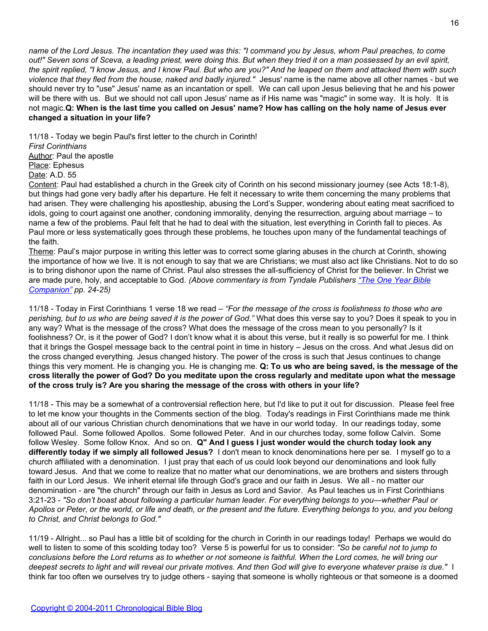*name of the Lord Jesus. The incantation they used was this: "I command you by Jesus, whom Paul preaches, to come out!" Seven sons of Sceva, a leading priest, were doing this. But when they tried it on a man possessed by an evil spirit, the spirit replied, "I know Jesus, and I know Paul. But who are you?" And he leaped on them and attacked them with such violence that they fled from the house, naked and badly injured."* Jesus' name is the name above all other names - but we should never try to "use" Jesus' name as an incantation or spell. We can call upon Jesus believing that he and his power will be there with us. But we should not call upon Jesus' name as if His name was "magic" in some way. It is holy. It is not magic.**Q: When is the last time you called on Jesus' name? How has calling on the holy name of Jesus ever changed a situation in your life?**

11/18 - Today we begin Paul's first letter to the church in Corinth!

*First Corinthians* Author: Paul the apostle

Place: Ephesus

Date: A.D. 55

Content: Paul had established a church in the Greek city of Corinth on his second missionary journey (see Acts 18:1-8), but things had gone very badly after his departure. He felt it necessary to write them concerning the many problems that had arisen. They were challenging his apostleship, abusing the Lord's Supper, wondering about eating meat sacrificed to idols, going to court against one another, condoning immorality, denying the resurrection, arguing about marriage – to name a few of the problems. Paul felt that he had to deal with the situation, lest everything in Corinth fall to pieces. As Paul more or less systematically goes through these problems, he touches upon many of the fundamental teachings of the faith.

Theme: Paul's major purpose in writing this letter was to correct some glaring abuses in the church at Corinth, showing the importance of how we live. It is not enough to say that we are Christians; we must also act like Christians. Not to do so is to bring dishonor upon the name of Christ. Paul also stresses the all-sufficiency of Christ for the believer. In Christ we are made pure, holy, and acceptable to God. *(Above commentary is from Tyndale Publishers ["The One Year Bible](http://www.christianbook.com/Christian/Books/product?item_no=2346163) [Companion"](http://www.christianbook.com/Christian/Books/product?item_no=2346163) pp. 24-25)*

11/18 - Today in First Corinthians 1 verse 18 we read – *"For the message of the cross is foolishness to those who are perishing, but to us who are being saved it is the power of God."* What does this verse say to you? Does it speak to you in any way? What is the message of the cross? What does the message of the cross mean to you personally? Is it foolishness? Or, is it the power of God? I don't know what it is about this verse, but it really is so powerful for me. I think that it brings the Gospel message back to the central point in time in history – Jesus on the cross. And what Jesus did on the cross changed everything. Jesus changed history. The power of the cross is such that Jesus continues to change things this very moment. He is changing you. He is changing me. **Q: To us who are being saved, is the message of the cross literally the power of God? Do you meditate upon the cross regularly and meditate upon what the message of the cross truly is? Are you sharing the message of the cross with others in your life?**

11/18 - This may be a somewhat of a controversial reflection here, but I'd like to put it out for discussion. Please feel free to let me know your thoughts in the Comments section of the blog. Today's readings in First Corinthians made me think about all of our various Christian church denominations that we have in our world today. In our readings today, some followed Paul. Some followed Apollos. Some followed Peter. And in our churches today, some follow Calvin. Some follow Wesley. Some follow Knox. And so on. **Q" And I guess I just wonder would the church today look any differently today if we simply all followed Jesus?** I don't mean to knock denominations here per se. I myself go to a church affiliated with a denomination. I just pray that each of us could look beyond our denominations and look fully toward Jesus. And that we come to realize that no matter what our denominations, we are brothers and sisters through faith in our Lord Jesus. We inherit eternal life through God's grace and our faith in Jesus. We all - no matter our denomination - are "the church" through our faith in Jesus as Lord and Savior. As Paul teaches us in First Corinthians 3:21-23 - *"So don't boast about following a particular human leader. For everything belongs to you—whether Paul or Apollos or Peter, or the world, or life and death, or the present and the future. Everything belongs to you, and you belong to Christ, and Christ belongs to God."*

11/19 - Allright... so Paul has a little bit of scolding for the church in Corinth in our readings today! Perhaps we would do well to listen to some of this scolding today too? Verse 5 is powerful for us to consider: *"So be careful not to jump to conclusions before the Lord returns as to whether or not someone is faithful. When the Lord comes, he will bring our deepest secrets to light and will reveal our private motives. And then God will give to everyone whatever praise is due."* I think far too often we ourselves try to judge others - saying that someone is wholly righteous or that someone is a doomed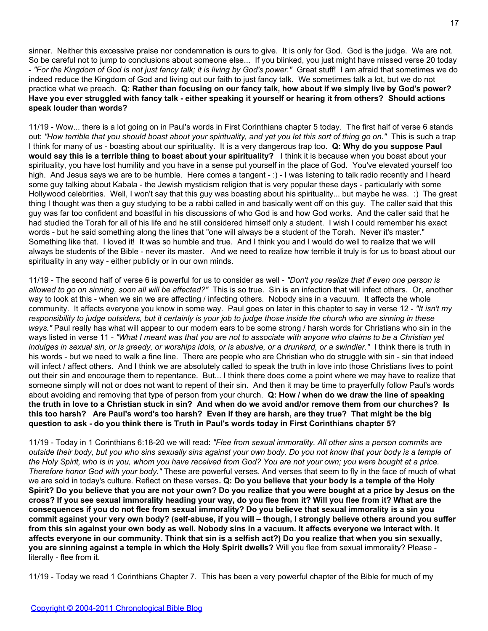sinner. Neither this excessive praise nor condemnation is ours to give. It is only for God. God is the judge. We are not. So be careful not to jump to conclusions about someone else... If you blinked, you just might have missed verse 20 today - *"For the Kingdom of God is not just fancy talk; it is living by God's power."* Great stuff! I am afraid that sometimes we do indeed reduce the Kingdom of God and living out our faith to just fancy talk. We sometimes talk a lot, but we do not practice what we preach. **Q: Rather than focusing on our fancy talk, how about if we simply live by God's power? Have you ever struggled with fancy talk - either speaking it yourself or hearing it from others? Should actions speak louder than words?**

11/19 - Wow... there is a lot going on in Paul's words in First Corinthians chapter 5 today. The first half of verse 6 stands out: *"How terrible that you should boast about your spirituality, and yet you let this sort of thing go on."* This is such a trap I think for many of us - boasting about our spirituality. It is a very dangerous trap too. **Q: Why do you suppose Paul would say this is a terrible thing to boast about your spirituality?** I think it is because when you boast about your spirituality, you have lost humility and you have in a sense put yourself in the place of God. You've elevated yourself too high. And Jesus says we are to be humble. Here comes a tangent - : ) - I was listening to talk radio recently and I heard some guy talking about Kabala - the Jewish mysticism religion that is very popular these days - particularly with some Hollywood celebrities. Well, I won't say that this guy was boasting about his spirituality... but maybe he was. :) The great thing I thought was then a guy studying to be a rabbi called in and basically went off on this guy. The caller said that this guy was far too confident and boastful in his discussions of who God is and how God works. And the caller said that he had studied the Torah for all of his life and he still considered himself only a student. I wish I could remember his exact words - but he said something along the lines that "one will always be a student of the Torah. Never it's master." Something like that. I loved it! It was so humble and true. And I think you and I would do well to realize that we will always be students of the Bible - never its master. And we need to realize how terrible it truly is for us to boast about our spirituality in any way - either publicly or in our own minds.

11/19 - The second half of verse 6 is powerful for us to consider as well - *"Don't you realize that if even one person is allowed to go on sinning, soon all will be affected?"* This is so true. Sin is an infection that will infect others. Or, another way to look at this - when we sin we are affecting / infecting others. Nobody sins in a vacuum. It affects the whole community. It affects everyone you know in some way. Paul goes on later in this chapter to say in verse 12 - *"It isn't my responsibility to judge outsiders, but it certainly is your job to judge those inside the church who are sinning in these ways."* Paul really has what will appear to our modern ears to be some strong / harsh words for Christians who sin in the ways listed in verse 11 - *"What I meant was that you are not to associate with anyone who claims to be a Christian yet indulges in sexual sin, or is greedy, or worships idols, or is abusive, or a drunkard, or a swindler."* I think there is truth in his words - but we need to walk a fine line. There are people who are Christian who do struggle with sin - sin that indeed will infect / affect others. And I think we are absolutely called to speak the truth in love into those Christians lives to point out their sin and encourage them to repentance. But... I think there does come a point where we may have to realize that someone simply will not or does not want to repent of their sin. And then it may be time to prayerfully follow Paul's words about avoiding and removing that type of person from your church. **Q: How / when do we draw the line of speaking the truth in love to a Christian stuck in sin? And when do we avoid and/or remove them from our churches? Is this too harsh? Are Paul's word's too harsh? Even if they are harsh, are they true? That might be the big question to ask - do you think there is Truth in Paul's words today in First Corinthians chapter 5?**

11/19 - Today in 1 Corinthians 6:18-20 we will read: *"Flee from sexual immorality. All other sins a person commits are outside their body, but you who sins sexually sins against your own body. Do you not know that your body is a temple of the Holy Spirit, who is in you, whom you have received from God? You are not your own; you were bought at a price. Therefore honor God with your body."* These are powerful verses. And verses that seem to fly in the face of much of what we are sold in today's culture. Reflect on these verses**. Q: Do you believe that your body is a temple of the Holy Spirit? Do you believe that you are not your own? Do you realize that you were bought at a price by Jesus on the cross? If you see sexual immorality heading your way, do you flee from it? Will you flee from it? What are the consequences if you do not flee from sexual immorality? Do you believe that sexual immorality is a sin you commit against your very own body? (self-abuse, if you will – though, I strongly believe others around you suffer from this sin against your own body as well. Nobody sins in a vacuum. It affects everyone we interact with. It affects everyone in our community. Think that sin is a selfish act?) Do you realize that when you sin sexually, you are sinning against a temple in which the Holy Spirit dwells?** Will you flee from sexual immorality? Please literally - flee from it.

11/19 - Today we read 1 Corinthians Chapter 7. This has been a very powerful chapter of the Bible for much of my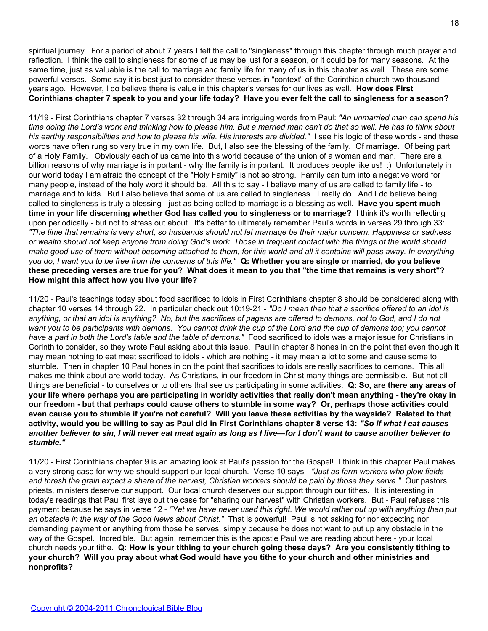spiritual journey. For a period of about 7 years I felt the call to "singleness" through this chapter through much prayer and reflection. I think the call to singleness for some of us may be just for a season, or it could be for many seasons. At the same time, just as valuable is the call to marriage and family life for many of us in this chapter as well. These are some powerful verses. Some say it is best just to consider these verses in "context" of the Corinthian church two thousand years ago. However, I do believe there is value in this chapter's verses for our lives as well. **How does First Corinthians chapter 7 speak to you and your life today? Have you ever felt the call to singleness for a season?**

11/19 - First Corinthians chapter 7 verses 32 through 34 are intriguing words from Paul: *"An unmarried man can spend his time doing the Lord's work and thinking how to please him. But a married man can't do that so well. He has to think about his earthly responsibilities and how to please his wife. His interests are divided."* I see his logic of these words - and these words have often rung so very true in my own life. But, I also see the blessing of the family. Of marriage. Of being part of a Holy Family. Obviously each of us came into this world because of the union of a woman and man. There are a billion reasons of why marriage is important - why the family is important. It produces people like us! :) Unfortunately in our world today I am afraid the concept of the "Holy Family" is not so strong. Family can turn into a negative word for many people, instead of the holy word it should be. All this to say - I believe many of us are called to family life - to marriage and to kids. But I also believe that some of us are called to singleness. I really do. And I do believe being called to singleness is truly a blessing - just as being called to marriage is a blessing as well. **Have you spent much time in your life discerning whether God has called you to singleness or to marriage?** I think it's worth reflecting upon periodically - but not to stress out about. It's better to ultimately remember Paul's words in verses 29 through 33: *"The time that remains is very short, so husbands should not let marriage be their major concern. Happiness or sadness or wealth should not keep anyone from doing God's work. Those in frequent contact with the things of the world should make good use of them without becoming attached to them, for this world and all it contains will pass away. In everything you do, I want you to be free from the concerns of this life."* **Q: Whether you are single or married, do you believe these preceding verses are true for you? What does it mean to you that "the time that remains is very short"? How might this affect how you live your life?**

11/20 - Paul's teachings today about food sacrificed to idols in First Corinthians chapter 8 should be considered along with chapter 10 verses 14 through 22. In particular check out 10:19-21 - *"Do I mean then that a sacrifice offered to an idol is anything, or that an idol is anything? No, but the sacrifices of pagans are offered to demons, not to God, and I do not want you to be participants with demons. You cannot drink the cup of the Lord and the cup of demons too; you cannot have a part in both the Lord's table and the table of demons."* Food sacrificed to idols was a major issue for Christians in Corinth to consider, so they wrote Paul asking about this issue. Paul in chapter 8 hones in on the point that even though it may mean nothing to eat meat sacrificed to idols - which are nothing - it may mean a lot to some and cause some to stumble. Then in chapter 10 Paul hones in on the point that sacrifices to idols are really sacrifices to demons. This all makes me think about are world today. As Christians, in our freedom in Christ many things are permissible. But not all things are beneficial - to ourselves or to others that see us participating in some activities. **Q: So, are there any areas of your life where perhaps you are participating in worldly activities that really don't mean anything - they're okay in our freedom - but that perhaps could cause others to stumble in some way? Or, perhaps those activities could even cause you to stumble if you're not careful? Will you leave these activities by the wayside? Related to that activity, would you be willing to say as Paul did in First Corinthians chapter 8 verse 13:** *"So if what I eat causes another believer to sin, I will never eat meat again as long as I live—for I don't want to cause another believer to stumble."*

11/20 - First Corinthians chapter 9 is an amazing look at Paul's passion for the Gospel! I think in this chapter Paul makes a very strong case for why we should support our local church. Verse 10 says - *"Just as farm workers who plow fields and thresh the grain expect a share of the harvest, Christian workers should be paid by those they serve."* Our pastors, priests, ministers deserve our support. Our local church deserves our support through our tithes. It is interesting in today's readings that Paul first lays out the case for "sharing our harvest" with Christian workers. But - Paul refuses this payment because he says in verse 12 - *"Yet we have never used this right. We would rather put up with anything than put an obstacle in the way of the Good News about Christ."* That is powerful! Paul is not asking for nor expecting nor demanding payment or anything from those he serves, simply because he does not want to put up any obstacle in the way of the Gospel. Incredible. But again, remember this is the apostle Paul we are reading about here - your local church needs your tithe. **Q: How is your tithing to your church going these days? Are you consistently tithing to your church? Will you pray about what God would have you tithe to your church and other ministries and nonprofits?**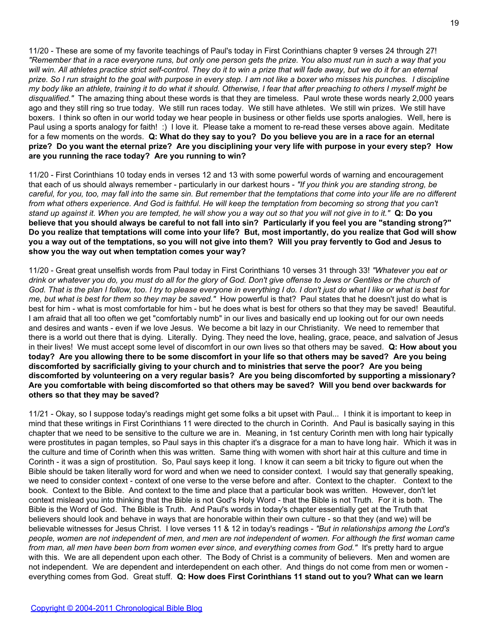11/20 - These are some of my favorite teachings of Paul's today in First Corinthians chapter 9 verses 24 through 27! *"Remember that in a race everyone runs, but only one person gets the prize. You also must run in such a way that you will win. All athletes practice strict self-control. They do it to win a prize that will fade away, but we do it for an eternal prize. So I run straight to the goal with purpose in every step. I am not like a boxer who misses his punches. I discipline my body like an athlete, training it to do what it should. Otherwise, I fear that after preaching to others I myself might be disqualified."* The amazing thing about these words is that they are timeless. Paul wrote these words nearly 2,000 years ago and they still ring so true today. We still run races today. We still have athletes. We still win prizes. We still have boxers. I think so often in our world today we hear people in business or other fields use sports analogies. Well, here is Paul using a sports analogy for faith! :) I love it. Please take a moment to re-read these verses above again. Meditate for a few moments on the words. **Q: What do they say to you? Do you believe you are in a race for an eternal prize? Do you want the eternal prize? Are you disciplining your very life with purpose in your every step? How are you running the race today? Are you running to win?**

11/20 - First Corinthians 10 today ends in verses 12 and 13 with some powerful words of warning and encouragement that each of us should always remember - particularly in our darkest hours - *"If you think you are standing strong, be careful, for you, too, may fall into the same sin. But remember that the temptations that come into your life are no different from what others experience. And God is faithful. He will keep the temptation from becoming so strong that you can't stand up against it. When you are tempted, he will show you a way out so that you will not give in to it."* **Q: Do you believe that you should always be careful to not fall into sin? Particularly if you feel you are "standing strong?" Do you realize that temptations will come into your life? But, most importantly, do you realize that God will show you a way out of the temptations, so you will not give into them? Will you pray fervently to God and Jesus to show you the way out when temptation comes your way?**

11/20 - Great great unselfish words from Paul today in First Corinthians 10 verses 31 through 33! *"Whatever you eat or drink or whatever you do, you must do all for the glory of God. Don't give offense to Jews or Gentiles or the church of God. That is the plan I follow, too. I try to please everyone in everything I do. I don't just do what I like or what is best for me, but what is best for them so they may be saved."* How powerful is that? Paul states that he doesn't just do what is best for him - what is most comfortable for him - but he does what is best for others so that they may be saved! Beautiful. I am afraid that all too often we get "comfortably numb" in our lives and basically end up looking out for our own needs and desires and wants - even if we love Jesus. We become a bit lazy in our Christianity. We need to remember that there is a world out there that is dying. Literally. Dying. They need the love, healing, grace, peace, and salvation of Jesus in their lives! We must accept some level of discomfort in our own lives so that others may be saved. **Q: How about you today? Are you allowing there to be some discomfort in your life so that others may be saved? Are you being discomforted by sacrificially giving to your church and to ministries that serve the poor? Are you being discomforted by volunteering on a very regular basis? Are you being discomforted by supporting a missionary? Are you comfortable with being discomforted so that others may be saved? Will you bend over backwards for others so that they may be saved?**

11/21 - Okay, so I suppose today's readings might get some folks a bit upset with Paul... I think it is important to keep in mind that these writings in First Corinthians 11 were directed to the church in Corinth. And Paul is basically saying in this chapter that we need to be sensitive to the culture we are in. Meaning, in 1st century Corinth men with long hair typically were prostitutes in pagan temples, so Paul says in this chapter it's a disgrace for a man to have long hair. Which it was in the culture and time of Corinth when this was written. Same thing with women with short hair at this culture and time in Corinth - it was a sign of prostitution. So, Paul says keep it long. I know it can seem a bit tricky to figure out when the Bible should be taken literally word for word and when we need to consider context. I would say that generally speaking, we need to consider context - context of one verse to the verse before and after. Context to the chapter. Context to the book. Context to the Bible. And context to the time and place that a particular book was written. However, don't let context mislead you into thinking that the Bible is not God's Holy Word - that the Bible is not Truth. For it is both. The Bible is the Word of God. The Bible is Truth. And Paul's words in today's chapter essentially get at the Truth that believers should look and behave in ways that are honorable within their own culture - so that they (and we) will be believable witnesses for Jesus Christ. I love verses 11 & 12 in today's readings - *"But in relationships among the Lord's people, women are not independent of men, and men are not independent of women. For although the first woman came from man, all men have been born from women ever since, and everything comes from God."* It's pretty hard to argue with this. We are all dependent upon each other. The Body of Christ is a community of believers. Men and women are not independent. We are dependent and interdependent on each other. And things do not come from men or women everything comes from God. Great stuff. **Q: How does First Corinthians 11 stand out to you? What can we learn**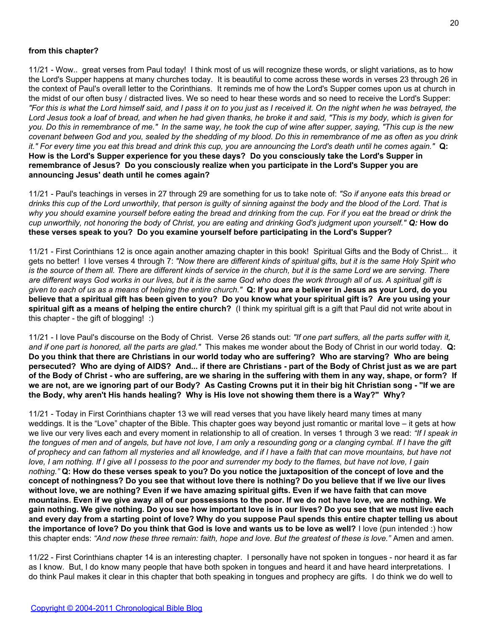## **from this chapter?**

11/21 - Wow.. great verses from Paul today! I think most of us will recognize these words, or slight variations, as to how the Lord's Supper happens at many churches today. It is beautiful to come across these words in verses 23 through 26 in the context of Paul's overall letter to the Corinthians. It reminds me of how the Lord's Supper comes upon us at church in the midst of our often busy / distracted lives. We so need to hear these words and so need to receive the Lord's Supper: *"For this is what the Lord himself said, and I pass it on to you just as I received it. On the night when he was betrayed, the Lord Jesus took a loaf of bread, and when he had given thanks, he broke it and said, "This is my body, which is given for you. Do this in remembrance of me." In the same way, he took the cup of wine after supper, saying, "This cup is the new covenant between God and you, sealed by the shedding of my blood. Do this in remembrance of me as often as you drink it." For every time you eat this bread and drink this cup, you are announcing the Lord's death until he comes again."* **Q: How is the Lord's Supper experience for you these days? Do you consciously take the Lord's Supper in remembrance of Jesus? Do you consciously realize when you participate in the Lord's Supper you are announcing Jesus' death until he comes again?**

11/21 - Paul's teachings in verses in 27 through 29 are something for us to take note of: *"So if anyone eats this bread or drinks this cup of the Lord unworthily, that person is guilty of sinning against the body and the blood of the Lord. That is why you should examine yourself before eating the bread and drinking from the cup. For if you eat the bread or drink the cup unworthily, not honoring the body of Christ, you are eating and drinking God's judgment upon yourself." Q:* **How do these verses speak to you? Do you examine yourself before participating in the Lord's Supper?**

11/21 - First Corinthians 12 is once again another amazing chapter in this book! Spiritual Gifts and the Body of Christ... it gets no better! I love verses 4 through 7: *"Now there are different kinds of spiritual gifts, but it is the same Holy Spirit who is the source of them all. There are different kinds of service in the church, but it is the same Lord we are serving. There are different ways God works in our lives, but it is the same God who does the work through all of us. A spiritual gift is given to each of us as a means of helping the entire church."* **Q: If you are a believer in Jesus as your Lord, do you believe that a spiritual gift has been given to you? Do you know what your spiritual gift is? Are you using your spiritual gift as a means of helping the entire church?** (I think my spiritual gift is a gift that Paul did not write about in this chapter - the gift of blogging! :)

11/21 - I love Paul's discourse on the Body of Christ. Verse 26 stands out: *"If one part suffers, all the parts suffer with it, and if one part is honored, all the parts are glad."* This makes me wonder about the Body of Christ in our world today. **Q: Do you think that there are Christians in our world today who are suffering? Who are starving? Who are being persecuted? Who are dying of AIDS? And... if there are Christians - part of the Body of Christ just as we are part of the Body of Christ - who are suffering, are we sharing in the suffering with them in any way, shape, or form? If we are not, are we ignoring part of our Body? As Casting Crowns put it in their big hit Christian song - "If we are the Body, why aren't His hands healing? Why is His love not showing them there is a Way?" Why?**

11/21 - Today in First Corinthians chapter 13 we will read verses that you have likely heard many times at many weddings. It is the "Love" chapter of the Bible. This chapter goes way beyond just romantic or marital love – it gets at how we live our very lives each and every moment in relationship to all of creation. In verses 1 through 3 we read: *"If I speak in the tongues of men and of angels, but have not love, I am only a resounding gong or a clanging cymbal. If I have the gift of prophecy and can fathom all mysteries and all knowledge, and if I have a faith that can move mountains, but have not love, I am nothing. If I give all I possess to the poor and surrender my body to the flames, but have not love, I gain nothing."* **Q: How do these verses speak to you? Do you notice the juxtaposition of the concept of love and the concept of nothingness? Do you see that without love there is nothing? Do you believe that if we live our lives without love, we are nothing? Even if we have amazing spiritual gifts. Even if we have faith that can move mountains. Even if we give away all of our possessions to the poor. If we do not have love, we are nothing. We gain nothing. We give nothing. Do you see how important love is in our lives? Do you see that we must live each and every day from a starting point of love? Why do you suppose Paul spends this entire chapter telling us about the importance of love? Do you think that God is love and wants us to be love as well?** I love (pun intended :) how this chapter ends: *"And now these three remain: faith, hope and love. But the greatest of these is love."* Amen and amen.

11/22 - First Corinthians chapter 14 is an interesting chapter. I personally have not spoken in tongues - nor heard it as far as I know. But, I do know many people that have both spoken in tongues and heard it and have heard interpretations. I do think Paul makes it clear in this chapter that both speaking in tongues and prophecy are gifts. I do think we do well to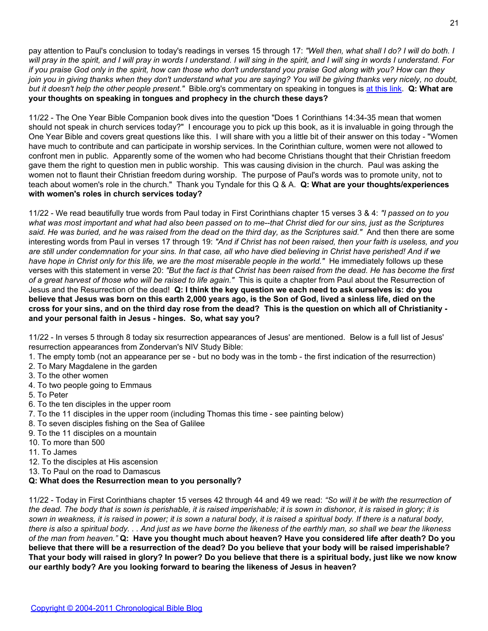pay attention to Paul's conclusion to today's readings in verses 15 through 17: *"Well then, what shall I do? I will do both. I will pray in the spirit, and I will pray in words I understand. I will sing in the spirit, and I will sing in words I understand. For if you praise God only in the spirit, how can those who don't understand you praise God along with you? How can they join you in giving thanks when they don't understand what you are saying? You will be giving thanks very nicely, no doubt, but it doesn't help the other people present."* Bible.org's commentary on speaking in tongues is [at this link](http://www.bible.org/page.php?page_id=393). **Q: What are your thoughts on speaking in tongues and prophecy in the church these days?**

11/22 - The One Year Bible Companion book dives into the question "Does 1 Corinthians 14:34-35 mean that women should not speak in church services today?" I encourage you to pick up this book, as it is invaluable in going through the One Year Bible and covers great questions like this. I will share with you a little bit of their answer on this today - "Women have much to contribute and can participate in worship services. In the Corinthian culture, women were not allowed to confront men in public. Apparently some of the women who had become Christians thought that their Christian freedom gave them the right to question men in public worship. This was causing division in the church. Paul was asking the women not to flaunt their Christian freedom during worship. The purpose of Paul's words was to promote unity, not to teach about women's role in the church." Thank you Tyndale for this Q & A. **Q: What are your thoughts/experiences with women's roles in church services today?**

11/22 - We read beautifully true words from Paul today in First Corinthians chapter 15 verses 3 & 4: *"I passed on to you what was most important and what had also been passed on to me--that Christ died for our sins, just as the Scriptures said. He was buried, and he was raised from the dead on the third day, as the Scriptures said."* And then there are some interesting words from Paul in verses 17 through 19: *"And if Christ has not been raised, then your faith is useless, and you are still under condemnation for your sins. In that case, all who have died believing in Christ have perished! And if we have hope in Christ only for this life, we are the most miserable people in the world."* He immediately follows up these verses with this statement in verse 20: *"But the fact is that Christ has been raised from the dead. He has become the first of a great harvest of those who will be raised to life again."* This is quite a chapter from Paul about the Resurrection of Jesus and the Resurrection of the dead! **Q: I think the key question we each need to ask ourselves is: do you believe that Jesus was born on this earth 2,000 years ago, is the Son of God, lived a sinless life, died on the cross for your sins, and on the third day rose from the dead? This is the question on which all of Christianity and your personal faith in Jesus - hinges. So, what say you?**

11/22 - In verses 5 through 8 today six resurrection appearances of Jesus' are mentioned. Below is a full list of Jesus' resurrection appearances from Zondervan's NIV Study Bible:

- 1. The empty tomb (not an appearance per se but no body was in the tomb the first indication of the resurrection)
- 2. To Mary Magdalene in the garden
- 3. To the other women
- 4. To two people going to Emmaus
- 5. To Peter
- 6. To the ten disciples in the upper room
- 7. To the 11 disciples in the upper room (including Thomas this time see painting below)
- 8. To seven disciples fishing on the Sea of Galilee
- 9. To the 11 disciples on a mountain
- 10. To more than 500
- 11. To James
- 12. To the disciples at His ascension
- 13. To Paul on the road to Damascus

#### **Q: What does the Resurrection mean to you personally?**

11/22 - Today in First Corinthians chapter 15 verses 42 through 44 and 49 we read: *"So will it be with the resurrection of the dead. The body that is sown is perishable, it is raised imperishable; it is sown in dishonor, it is raised in glory; it is sown in weakness, it is raised in power; it is sown a natural body, it is raised a spiritual body. If there is a natural body, there is also a spiritual body. . . And just as we have borne the likeness of the earthly man, so shall we bear the likeness of the man from heaven."* **Q: Have you thought much about heaven? Have you considered life after death? Do you believe that there will be a resurrection of the dead? Do you believe that your body will be raised imperishable? That your body will raised in glory? In power? Do you believe that there is a spiritual body, just like we now know our earthly body? Are you looking forward to bearing the likeness of Jesus in heaven?**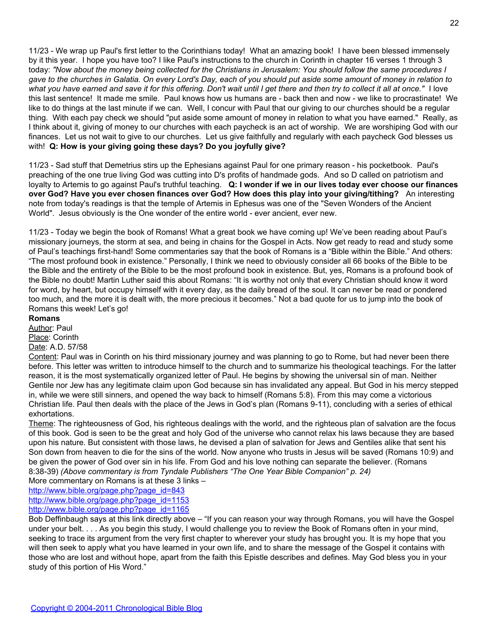11/23 - We wrap up Paul's first letter to the Corinthians today! What an amazing book! I have been blessed immensely by it this year. I hope you have too? I like Paul's instructions to the church in Corinth in chapter 16 verses 1 through 3 today: *"Now about the money being collected for the Christians in Jerusalem: You should follow the same procedures I gave to the churches in Galatia. On every Lord's Day, each of you should put aside some amount of money in relation to what you have earned and save it for this offering. Don't wait until I get there and then try to collect it all at once."* I love this last sentence! It made me smile. Paul knows how us humans are - back then and now - we like to procrastinate! We like to do things at the last minute if we can. Well, I concur with Paul that our giving to our churches should be a regular thing. With each pay check we should "put aside some amount of money in relation to what you have earned." Really, as I think about it, giving of money to our churches with each paycheck is an act of worship. We are worshiping God with our finances. Let us not wait to give to our churches. Let us give faithfully and regularly with each paycheck God blesses us with! **Q: How is your giving going these days? Do you joyfully give?**

11/23 - Sad stuff that Demetrius stirs up the Ephesians against Paul for one primary reason - his pocketbook. Paul's preaching of the one true living God was cutting into D's profits of handmade gods. And so D called on patriotism and loyalty to Artemis to go against Paul's truthful teaching. **Q: I wonder if we in our lives today ever choose our finances over God? Have you ever chosen finances over God? How does this play into your giving/tithing?** An interesting note from today's readings is that the temple of Artemis in Ephesus was one of the "Seven Wonders of the Ancient World". Jesus obviously is the One wonder of the entire world - ever ancient, ever new.

11/23 - Today we begin the book of Romans! What a great book we have coming up! We've been reading about Paul's missionary journeys, the storm at sea, and being in chains for the Gospel in Acts. Now get ready to read and study some of Paul's teachings first-hand! Some commentaries say that the book of Romans is a "Bible within the Bible." And others: "The most profound book in existence." Personally, I think we need to obviously consider all 66 books of the Bible to be the Bible and the entirety of the Bible to be the most profound book in existence. But, yes, Romans is a profound book of the Bible no doubt! Martin Luther said this about Romans: "It is worthy not only that every Christian should know it word for word, by heart, but occupy himself with it every day, as the daily bread of the soul. It can never be read or pondered too much, and the more it is dealt with, the more precious it becomes." Not a bad quote for us to jump into the book of Romans this week! Let's go!

# **Romans**

Author: Paul

#### Place: Corinth Date: A.D. 57/58

Content: Paul was in Corinth on his third missionary journey and was planning to go to Rome, but had never been there before. This letter was written to introduce himself to the church and to summarize his theological teachings. For the latter reason, it is the most systematically organized letter of Paul. He begins by showing the universal sin of man. Neither Gentile nor Jew has any legitimate claim upon God because sin has invalidated any appeal. But God in his mercy stepped in, while we were still sinners, and opened the way back to himself (Romans 5:8). From this may come a victorious Christian life. Paul then deals with the place of the Jews in God's plan (Romans 9-11), concluding with a series of ethical exhortations.

Theme: The righteousness of God, his righteous dealings with the world, and the righteous plan of salvation are the focus of this book. God is seen to be the great and holy God of the universe who cannot relax his laws because they are based upon his nature. But consistent with those laws, he devised a plan of salvation for Jews and Gentiles alike that sent his Son down from heaven to die for the sins of the world. Now anyone who trusts in Jesus will be saved (Romans 10:9) and be given the power of God over sin in his life. From God and his love nothing can separate the believer. (Romans 8:38-39) *(Above commentary is from Tyndale Publishers "The One Year Bible Companion" p. 24)*

More commentary on Romans is at these 3 links –

[http://www.bible.org/page.php?page\\_id=843](http://www.bible.org/page.php?page_id=843)

[http://www.bible.org/page.php?page\\_id=1153](http://www.bible.org/page.php?page_id=1153)

[http://www.bible.org/page.php?page\\_id=1165](http://www.bible.org/page.php?page_id=1165)

Bob Deffinbaugh says at this link directly above – "If you can reason your way through Romans, you will have the Gospel under your belt. . . . As you begin this study, I would challenge you to review the Book of Romans often in your mind, seeking to trace its argument from the very first chapter to wherever your study has brought you. It is my hope that you will then seek to apply what you have learned in your own life, and to share the message of the Gospel it contains with those who are lost and without hope, apart from the faith this Epistle describes and defines. May God bless you in your study of this portion of His Word."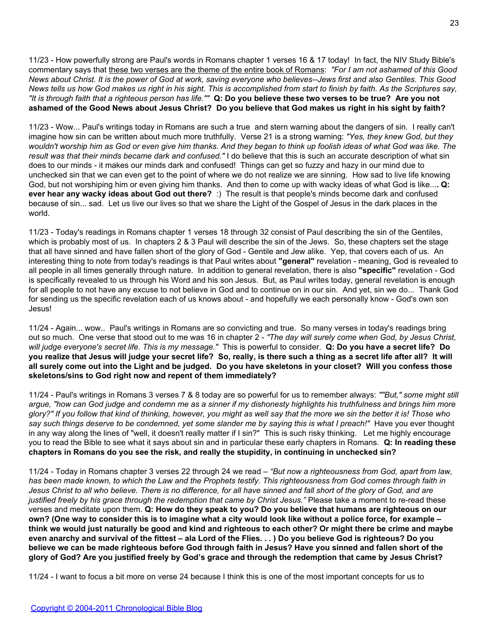11/23 - How powerfully strong are Paul's words in Romans chapter 1 verses 16 & 17 today! In fact, the NIV Study Bible's commentary says that these two verses are the theme of the entire book of Romans: *"For I am not ashamed of this Good News about Christ. It is the power of God at work, saving everyone who believes--Jews first and also Gentiles. This Good News tells us how God makes us right in his sight. This is accomplished from start to finish by faith. As the Scriptures say, "It is through faith that a righteous person has life.""* **Q: Do you believe these two verses to be true? Are you not ashamed of the Good News about Jesus Christ? Do you believe that God makes us right in his sight by faith?**

11/23 - Wow... Paul's writings today in Romans are such a true and stern warning about the dangers of sin. I really can't imagine how sin can be written about much more truthfully. Verse 21 is a strong warning: *"Yes, they knew God, but they wouldn't worship him as God or even give him thanks. And they began to think up foolish ideas of what God was like. The result was that their minds became dark and confused."* I do believe that this is such an accurate description of what sin does to our minds - it makes our minds dark and confused! Things can get so fuzzy and hazy in our mind due to unchecked sin that we can even get to the point of where we do not realize we are sinning. How sad to live life knowing God, but not worshiping him or even giving him thanks. And then to come up with wacky ideas of what God is like...**. Q: ever hear any wacky ideas about God out there?** :) The result is that people's minds become dark and confused because of sin... sad. Let us live our lives so that we share the Light of the Gospel of Jesus in the dark places in the world.

11/23 - Today's readings in Romans chapter 1 verses 18 through 32 consist of Paul describing the sin of the Gentiles, which is probably most of us. In chapters 2 & 3 Paul will describe the sin of the Jews. So, these chapters set the stage that all have sinned and have fallen short of the glory of God - Gentile and Jew alike. Yep, that covers each of us. An interesting thing to note from today's readings is that Paul writes about **"general"** revelation - meaning, God is revealed to all people in all times generally through nature. In addition to general revelation, there is also **"specific"** revelation - God is specifically revealed to us through his Word and his son Jesus. But, as Paul writes today, general revelation is enough for all people to not have any excuse to not believe in God and to continue on in our sin. And yet, sin we do... Thank God for sending us the specific revelation each of us knows about - and hopefully we each personally know - God's own son Jesus!

11/24 - Again... wow.. Paul's writings in Romans are so convicting and true. So many verses in today's readings bring out so much. One verse that stood out to me was 16 in chapter 2 - *"The day will surely come when God, by Jesus Christ, will judge everyone's secret life. This is my message."* This is powerful to consider. **Q: Do you have a secret life? Do you realize that Jesus will judge your secret life? So, really, is there such a thing as a secret life after all? It will all surely come out into the Light and be judged. Do you have skeletons in your closet? Will you confess those skeletons/sins to God right now and repent of them immediately?**

11/24 - Paul's writings in Romans 3 verses 7 & 8 today are so powerful for us to remember always: *""But," some might still argue, "how can God judge and condemn me as a sinner if my dishonesty highlights his truthfulness and brings him more glory?" If you follow that kind of thinking, however, you might as well say that the more we sin the better it is! Those who say such things deserve to be condemned, yet some slander me by saying this is what I preach!"* Have you ever thought in any way along the lines of "well, it doesn't really matter if I sin?" This is such risky thinking. Let me highly encourage you to read the Bible to see what it says about sin and in particular these early chapters in Romans. **Q: In reading these chapters in Romans do you see the risk, and really the stupidity, in continuing in unchecked sin?**

11/24 - Today in Romans chapter 3 verses 22 through 24 we read – *"But now a righteousness from God, apart from law, has been made known, to which the Law and the Prophets testify. This righteousness from God comes through faith in Jesus Christ to all who believe. There is no difference, for all have sinned and fall short of the glory of God, and are justified freely by his grace through the redemption that came by Christ Jesus."* Please take a moment to re-read these verses and meditate upon them. **Q: How do they speak to you? Do you believe that humans are righteous on our own? (One way to consider this is to imagine what a city would look like without a police force, for example – think we would just naturally be good and kind and righteous to each other? Or might there be crime and maybe even anarchy and survival of the fittest – ala Lord of the Flies. . . ) Do you believe God is righteous? Do you believe we can be made righteous before God through faith in Jesus? Have you sinned and fallen short of the glory of God? Are you justified freely by God's grace and through the redemption that came by Jesus Christ?**

11/24 - I want to focus a bit more on verse 24 because I think this is one of the most important concepts for us to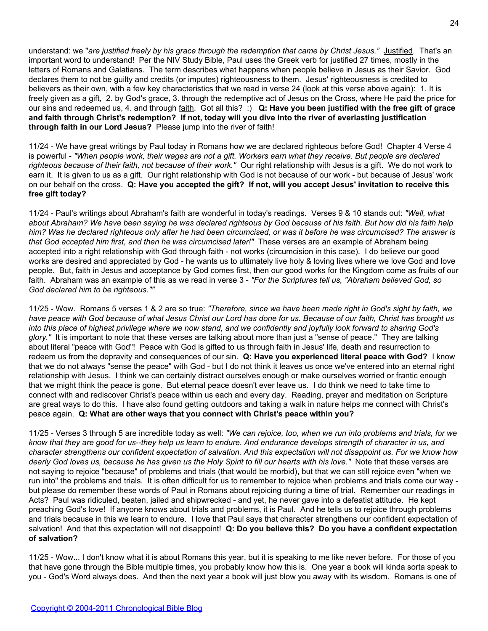understand: we "*are justified freely by his grace through the redemption that came by Christ Jesus."* Justified. That's an important word to understand! Per the NIV Study Bible, Paul uses the Greek verb for justified 27 times, mostly in the letters of Romans and Galatians. The term describes what happens when people believe in Jesus as their Savior. God declares them to not be guilty and credits (or imputes) righteousness to them. Jesus' righteousness is credited to believers as their own, with a few key characteristics that we read in verse 24 (look at this verse above again): 1. It is freely given as a gift, 2. by God's grace, 3. through the redemptive act of Jesus on the Cross, where He paid the price for our sins and redeemed us, 4. and through faith. Got all this? :) **Q: Have you been justified with the free gift of grace and faith through Christ's redemption? If not, today will you dive into the river of everlasting justification through faith in our Lord Jesus?** Please jump into the river of faith!

11/24 - We have great writings by Paul today in Romans how we are declared righteous before God! Chapter 4 Verse 4 is powerful - *"When people work, their wages are not a gift. Workers earn what they receive. But people are declared righteous because of their faith, not because of their work."* Our right relationship with Jesus is a gift. We do not work to earn it. It is given to us as a gift. Our right relationship with God is not because of our work - but because of Jesus' work on our behalf on the cross. **Q: Have you accepted the gift? If not, will you accept Jesus' invitation to receive this free gift today?**

11/24 - Paul's writings about Abraham's faith are wonderful in today's readings. Verses 9 & 10 stands out: *"Well, what about Abraham? We have been saying he was declared righteous by God because of his faith. But how did his faith help him? Was he declared righteous only after he had been circumcised, or was it before he was circumcised? The answer is that God accepted him first, and then he was circumcised later!"* These verses are an example of Abraham being accepted into a right relationship with God through faith - not works (circumcision in this case). I do believe our good works are desired and appreciated by God - he wants us to ultimately live holy & loving lives where we love God and love people. But, faith in Jesus and acceptance by God comes first, then our good works for the Kingdom come as fruits of our faith. Abraham was an example of this as we read in verse 3 - *"For the Scriptures tell us, "Abraham believed God, so God declared him to be righteous.""*

11/25 - Wow. Romans 5 verses 1 & 2 are so true: *"Therefore, since we have been made right in God's sight by faith, we have peace with God because of what Jesus Christ our Lord has done for us. Because of our faith, Christ has brought us into this place of highest privilege where we now stand, and we confidently and joyfully look forward to sharing God's glory."* It is important to note that these verses are talking about more than just a "sense of peace." They are talking about literal "peace with God"! Peace with God is gifted to us through faith in Jesus' life, death and resurrection to redeem us from the depravity and consequences of our sin. **Q: Have you experienced literal peace with God?** I know that we do not always "sense the peace" with God - but I do not think it leaves us once we've entered into an eternal right relationship with Jesus. I think we can certainly distract ourselves enough or make ourselves worried or frantic enough that we might think the peace is gone. But eternal peace doesn't ever leave us. I do think we need to take time to connect with and rediscover Christ's peace within us each and every day. Reading, prayer and meditation on Scripture are great ways to do this. I have also found getting outdoors and taking a walk in nature helps me connect with Christ's peace again. **Q: What are other ways that you connect with Christ's peace within you?**

11/25 - Verses 3 through 5 are incredible today as well: *"We can rejoice, too, when we run into problems and trials, for we know that they are good for us--they help us learn to endure. And endurance develops strength of character in us, and character strengthens our confident expectation of salvation. And this expectation will not disappoint us. For we know how dearly God loves us, because he has given us the Holy Spirit to fill our hearts with his love."* Note that these verses are not saying to rejoice "because" of problems and trials (that would be morbid), but that we can still rejoice even "when we run into" the problems and trials. It is often difficult for us to remember to rejoice when problems and trials come our way but please do remember these words of Paul in Romans about rejoicing during a time of trial. Remember our readings in Acts? Paul was ridiculed, beaten, jailed and shipwrecked - and yet, he never gave into a defeatist attitude. He kept preaching God's love! If anyone knows about trials and problems, it is Paul. And he tells us to rejoice through problems and trials because in this we learn to endure. I love that Paul says that character strengthens our confident expectation of salvation! And that this expectation will not disappoint! **Q: Do you believe this? Do you have a confident expectation of salvation?**

11/25 - Wow... I don't know what it is about Romans this year, but it is speaking to me like never before. For those of you that have gone through the Bible multiple times, you probably know how this is. One year a book will kinda sorta speak to you - God's Word always does. And then the next year a book will just blow you away with its wisdom. Romans is one of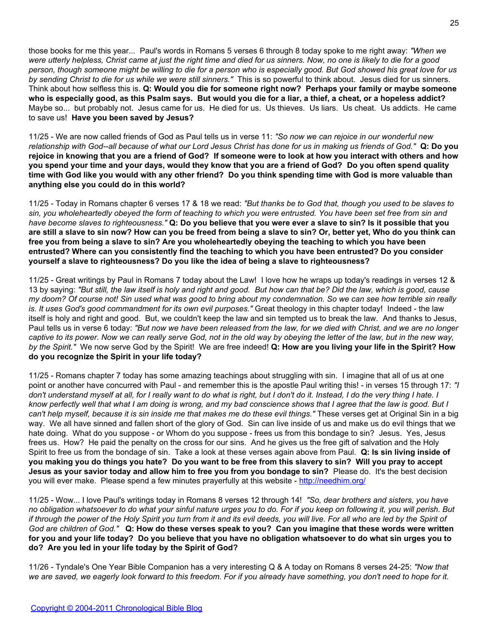those books for me this year... Paul's words in Romans 5 verses 6 through 8 today spoke to me right away: *"When we were utterly helpless, Christ came at just the right time and died for us sinners. Now, no one is likely to die for a good person, though someone might be willing to die for a person who is especially good. But God showed his great love for us by sending Christ to die for us while we were still sinners."* This is so powerful to think about. Jesus died for us sinners. Think about how selfless this is. **Q: Would you die for someone right now? Perhaps your family or maybe someone who is especially good, as this Psalm says. But would you die for a liar, a thief, a cheat, or a hopeless addict?** Maybe so... but probably not. Jesus came for us. He died for us. Us thieves. Us liars. Us cheat. Us addicts. He came to save us! **Have you been saved by Jesus?**

11/25 - We are now called friends of God as Paul tells us in verse 11: *"So now we can rejoice in our wonderful new relationship with God--all because of what our Lord Jesus Christ has done for us in making us friends of God."* **Q: Do you rejoice in knowing that you are a friend of God? If someone were to look at how you interact with others and how you spend your time and your days, would they know that you are a friend of God? Do you often spend quality time with God like you would with any other friend? Do you think spending time with God is more valuable than anything else you could do in this world?**

11/25 - Today in Romans chapter 6 verses 17 & 18 we read: *"But thanks be to God that, though you used to be slaves to sin, you wholeheartedly obeyed the form of teaching to which you were entrusted. You have been set free from sin and have become slaves to righteousness."* **Q: Do you believe that you were ever a slave to sin? Is it possible that you are still a slave to sin now? How can you be freed from being a slave to sin? Or, better yet, Who do you think can free you from being a slave to sin? Are you wholeheartedly obeying the teaching to which you have been entrusted? Where can you consistently find the teaching to which you have been entrusted? Do you consider yourself a slave to righteousness? Do you like the idea of being a slave to righteousness?**

11/25 - Great writings by Paul in Romans 7 today about the Law! I love how he wraps up today's readings in verses 12 & 13 by saying: *"But still, the law itself is holy and right and good. But how can that be? Did the law, which is good, cause my doom? Of course not! Sin used what was good to bring about my condemnation. So we can see how terrible sin really is. It uses God's good commandment for its own evil purposes."* Great theology in this chapter today! Indeed - the law itself is holy and right and good. But, we couldn't keep the law and sin tempted us to break the law. And thanks to Jesus, Paul tells us in verse 6 today: *"But now we have been released from the law, for we died with Christ, and we are no longer captive to its power. Now we can really serve God, not in the old way by obeying the letter of the law, but in the new way, by the Spirit."* We now serve God by the Spirit! We are free indeed! **Q: How are you living your life in the Spirit? How do you recognize the Spirit in your life today?**

11/25 - Romans chapter 7 today has some amazing teachings about struggling with sin. I imagine that all of us at one point or another have concurred with Paul - and remember this is the apostle Paul writing this! - in verses 15 through 17: *"I don't understand myself at all, for I really want to do what is right, but I don't do it. Instead, I do the very thing I hate. I know perfectly well that what I am doing is wrong, and my bad conscience shows that I agree that the law is good. But I can't help myself, because it is sin inside me that makes me do these evil things."* These verses get at Original Sin in a big way. We all have sinned and fallen short of the glory of God. Sin can live inside of us and make us do evil things that we hate doing. What do you suppose - or Whom do you suppose - frees us from this bondage to sin? Jesus. Yes, Jesus frees us. How? He paid the penalty on the cross for our sins. And he gives us the free gift of salvation and the Holy Spirit to free us from the bondage of sin. Take a look at these verses again above from Paul. **Q: Is sin living inside of you making you do things you hate? Do you want to be free from this slavery to sin? Will you pray to accept Jesus as your savior today and allow him to free you from you bondage to sin?** Please do. It's the best decision you will ever make. Please spend a few minutes prayerfully at this website - <http://needhim.org/>

11/25 - Wow... I love Paul's writings today in Romans 8 verses 12 through 14! *"So, dear brothers and sisters, you have no obligation whatsoever to do what your sinful nature urges you to do. For if you keep on following it, you will perish. But if through the power of the Holy Spirit you turn from it and its evil deeds, you will live. For all who are led by the Spirit of God are children of God."* **Q: How do these verses speak to you? Can you imagine that these words were written for you and your life today? Do you believe that you have no obligation whatsoever to do what sin urges you to do? Are you led in your life today by the Spirit of God?**

11/26 - Tyndale's One Year Bible Companion has a very interesting Q & A today on Romans 8 verses 24-25: *"Now that we are saved, we eagerly look forward to this freedom. For if you already have something, you don't need to hope for it.*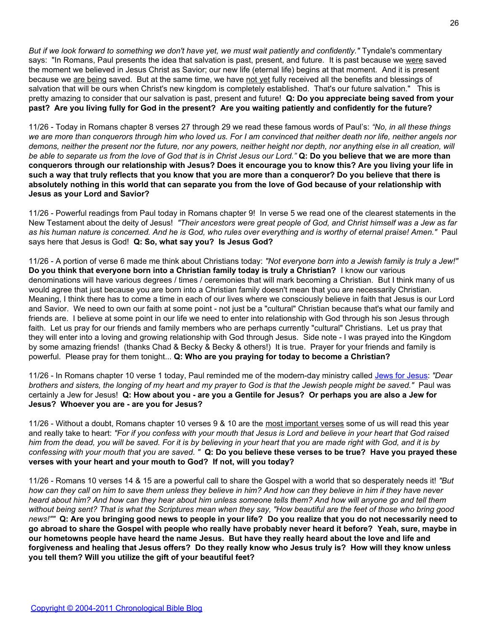*But if we look forward to something we don't have yet, we must wait patiently and confidently."* Tyndale's commentary says: "In Romans, Paul presents the idea that salvation is past, present, and future. It is past because we were saved the moment we believed in Jesus Christ as Savior; our new life (eternal life) begins at that moment. And it is present because we are being saved. But at the same time, we have not yet fully received all the benefits and blessings of salvation that will be ours when Christ's new kingdom is completely established. That's our future salvation." This is pretty amazing to consider that our salvation is past, present and future! **Q: Do you appreciate being saved from your past? Are you living fully for God in the present? Are you waiting patiently and confidently for the future?**

11/26 - Today in Romans chapter 8 verses 27 through 29 we read these famous words of Paul's: *"No, in all these things we are more than conquerors through him who loved us. For I am convinced that neither death nor life, neither angels nor demons, neither the present nor the future, nor any powers, neither height nor depth, nor anything else in all creation, will be able to separate us from the love of God that is in Christ Jesus our Lord."* **Q: Do you believe that we are more than conquerors through our relationship with Jesus? Does it encourage you to know this? Are you living your life in such a way that truly reflects that you know that you are more than a conqueror? Do you believe that there is absolutely nothing in this world that can separate you from the love of God because of your relationship with Jesus as your Lord and Savior?**

11/26 - Powerful readings from Paul today in Romans chapter 9! In verse 5 we read one of the clearest statements in the New Testament about the deity of Jesus! *"Their ancestors were great people of God, and Christ himself was a Jew as far as his human nature is concerned. And he is God, who rules over everything and is worthy of eternal praise! Amen."* Paul says here that Jesus is God! **Q: So, what say you? Is Jesus God?**

11/26 - A portion of verse 6 made me think about Christians today: *"Not everyone born into a Jewish family is truly a Jew!"* **Do you think that everyone born into a Christian family today is truly a Christian?** I know our various denominations will have various degrees / times / ceremonies that will mark becoming a Christian. But I think many of us would agree that just because you are born into a Christian family doesn't mean that you are necessarily Christian. Meaning, I think there has to come a time in each of our lives where we consciously believe in faith that Jesus is our Lord and Savior. We need to own our faith at some point - not just be a "cultural" Christian because that's what our family and friends are. I believe at some point in our life we need to enter into relationship with God through his son Jesus through faith. Let us pray for our friends and family members who are perhaps currently "cultural" Christians. Let us pray that they will enter into a loving and growing relationship with God through Jesus. Side note - I was prayed into the Kingdom by some amazing friends! (thanks Chad & Becky & Becky & others!) It is true. Prayer for your friends and family is powerful. Please pray for them tonight... **Q: Who are you praying for today to become a Christian?**

11/26 - In Romans chapter 10 verse 1 today, Paul reminded me of the modern-day ministry called [Jews for Jesus:](http://www.jewsforjesus.org/) *"Dear brothers and sisters, the longing of my heart and my prayer to God is that the Jewish people might be saved."* Paul was certainly a Jew for Jesus! **Q: How about you - are you a Gentile for Jesus? Or perhaps you are also a Jew for Jesus? Whoever you are - are you for Jesus?**

11/26 - Without a doubt, Romans chapter 10 verses 9 & 10 are the most important verses some of us will read this year and really take to heart: *"For if you confess with your mouth that Jesus is Lord and believe in your heart that God raised him from the dead, you will be saved. For it is by believing in your heart that you are made right with God, and it is by confessing with your mouth that you are saved. "* **Q: Do you believe these verses to be true? Have you prayed these verses with your heart and your mouth to God? If not, will you today?**

11/26 - Romans 10 verses 14 & 15 are a powerful call to share the Gospel with a world that so desperately needs it! *"But how can they call on him to save them unless they believe in him? And how can they believe in him if they have never heard about him? And how can they hear about him unless someone tells them? And how will anyone go and tell them without being sent? That is what the Scriptures mean when they say, "How beautiful are the feet of those who bring good news!""* **Q: Are you bringing good news to people in your life? Do you realize that you do not necessarily need to go abroad to share the Gospel with people who really have probably never heard it before? Yeah, sure, maybe in our hometowns people have heard the name Jesus. But have they really heard about the love and life and forgiveness and healing that Jesus offers? Do they really know who Jesus truly is? How will they know unless you tell them? Will you utilize the gift of your beautiful feet?**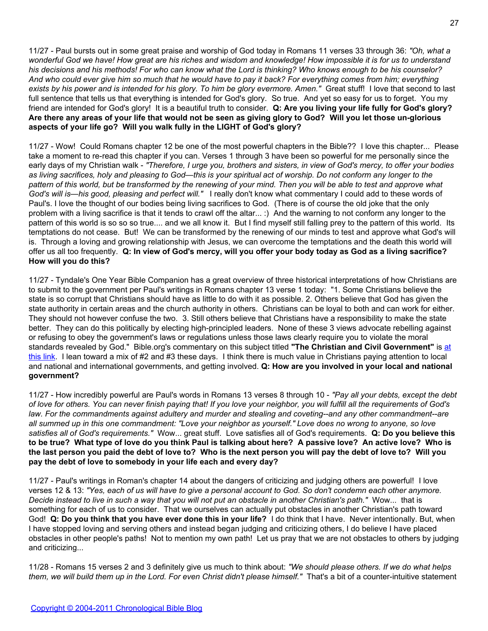11/27 - Paul bursts out in some great praise and worship of God today in Romans 11 verses 33 through 36: *"Oh, what a wonderful God we have! How great are his riches and wisdom and knowledge! How impossible it is for us to understand his decisions and his methods! For who can know what the Lord is thinking? Who knows enough to be his counselor? And who could ever give him so much that he would have to pay it back? For everything comes from him; everything exists by his power and is intended for his glory. To him be glory evermore. Amen."* Great stuff! I love that second to last full sentence that tells us that everything is intended for God's glory. So true. And yet so easy for us to forget. You my friend are intended for God's glory! It is a beautiful truth to consider. **Q: Are you living your life fully for God's glory? Are there any areas of your life that would not be seen as giving glory to God? Will you let those un-glorious aspects of your life go? Will you walk fully in the LIGHT of God's glory?**

11/27 - Wow! Could Romans chapter 12 be one of the most powerful chapters in the Bible?? I love this chapter... Please take a moment to re-read this chapter if you can. Verses 1 through 3 have been so powerful for me personally since the early days of my Christian walk - *"Therefore, I urge you, brothers and sisters, in view of God's mercy, to offer your bodies as living sacrifices, holy and pleasing to God—this is your spiritual act of worship. Do not conform any longer to the pattern of this world, but be transformed by the renewing of your mind. Then you will be able to test and approve what God's will is—his good, pleasing and perfect will."* I really don't know what commentary I could add to these words of Paul's. I love the thought of our bodies being living sacrifices to God. (There is of course the old joke that the only problem with a living sacrifice is that it tends to crawl off the altar... :) And the warning to not conform any longer to the pattern of this world is so so so true.... and we all know it. But I find myself still falling prey to the pattern of this world. Its temptations do not cease. But! We can be transformed by the renewing of our minds to test and approve what God's will is. Through a loving and growing relationship with Jesus, we can overcome the temptations and the death this world will offer us all too frequently. **Q: In view of God's mercy, will you offer your body today as God as a living sacrifice? How will you do this?**

11/27 - Tyndale's One Year Bible Companion has a great overview of three historical interpretations of how Christians are to submit to the government per Paul's writings in Romans chapter 13 verse 1 today: "1. Some Christians believe the state is so corrupt that Christians should have as little to do with it as possible. 2. Others believe that God has given the state authority in certain areas and the church authority in others. Christians can be loyal to both and can work for either. They should not however confuse the two. 3. Still others believe that Christians have a responsibility to make the state better. They can do this politically by electing high-principled leaders. None of these 3 views advocate rebelling against or refusing to obey the government's laws or regulations unless those laws clearly require you to violate the moral standards revealed by God." Bible.org's commentary on this subject titled **"The Christian and Civil Government"** is [at](http://www.bible.org/page.php?page_id=2324) [this link](http://www.bible.org/page.php?page_id=2324). I lean toward a mix of #2 and #3 these days. I think there is much value in Christians paying attention to local and national and international governments, and getting involved. **Q: How are you involved in your local and national government?**

11/27 - How incredibly powerful are Paul's words in Romans 13 verses 8 through 10 - *"Pay all your debts, except the debt of love for others. You can never finish paying that! If you love your neighbor, you will fulfill all the requirements of God's law. For the commandments against adultery and murder and stealing and coveting--and any other commandment--are all summed up in this one commandment: "Love your neighbor as yourself." Love does no wrong to anyone, so love satisfies all of God's requirements."* Wow... great stuff. Love satisfies all of God's requirements. **Q: Do you believe this to be true? What type of love do you think Paul is talking about here? A passive love? An active love? Who is the last person you paid the debt of love to? Who is the next person you will pay the debt of love to? Will you pay the debt of love to somebody in your life each and every day?**

11/27 - Paul's writings in Roman's chapter 14 about the dangers of criticizing and judging others are powerful! I love verses 12 & 13: *"Yes, each of us will have to give a personal account to God. So don't condemn each other anymore. Decide instead to live in such a way that you will not put an obstacle in another Christian's path."* Wow... that is something for each of us to consider. That we ourselves can actually put obstacles in another Christian's path toward God! **Q: Do you think that you have ever done this in your life?** I do think that I have. Never intentionally. But, when I have stopped loving and serving others and instead began judging and criticizing others, I do believe I have placed obstacles in other people's paths! Not to mention my own path! Let us pray that we are not obstacles to others by judging and criticizing...

11/28 - Romans 15 verses 2 and 3 definitely give us much to think about: *"We should please others. If we do what helps them, we will build them up in the Lord. For even Christ didn't please himself."* That's a bit of a counter-intuitive statement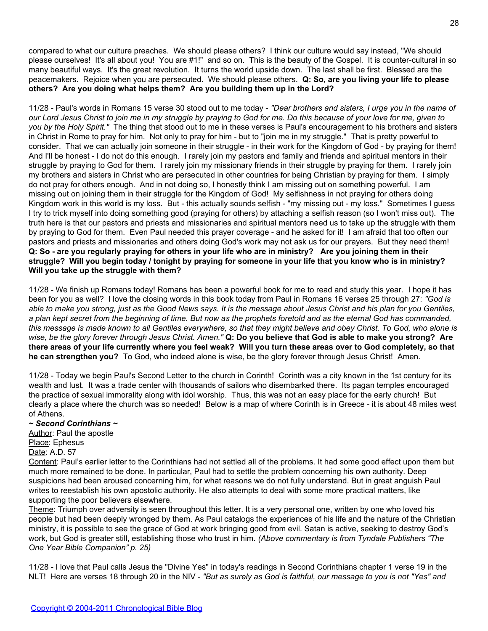compared to what our culture preaches. We should please others? I think our culture would say instead, "We should please ourselves! It's all about you! You are #1!" and so on. This is the beauty of the Gospel. It is counter-cultural in so many beautiful ways. It's the great revolution. It turns the world upside down. The last shall be first. Blessed are the peacemakers. Rejoice when you are persecuted. We should please others. **Q: So, are you living your life to please others? Are you doing what helps them? Are you building them up in the Lord?**

11/28 - Paul's words in Romans 15 verse 30 stood out to me today - *"Dear brothers and sisters, I urge you in the name of our Lord Jesus Christ to join me in my struggle by praying to God for me. Do this because of your love for me, given to you by the Holy Spirit."* The thing that stood out to me in these verses is Paul's encouragement to his brothers and sisters in Christ in Rome to pray for him. Not only to pray for him - but to "join me in my struggle." That is pretty powerful to consider. That we can actually join someone in their struggle - in their work for the Kingdom of God - by praying for them! And I'll be honest - I do not do this enough. I rarely join my pastors and family and friends and spiritual mentors in their struggle by praying to God for them. I rarely join my missionary friends in their struggle by praying for them. I rarely join my brothers and sisters in Christ who are persecuted in other countries for being Christian by praying for them. I simply do not pray for others enough. And in not doing so, I honestly think I am missing out on something powerful. I am missing out on joining them in their struggle for the Kingdom of God! My selfishness in not praying for others doing Kingdom work in this world is my loss. But - this actually sounds selfish - "my missing out - my loss." Sometimes I guess I try to trick myself into doing something good (praying for others) by attaching a selfish reason (so I won't miss out). The truth here is that our pastors and priests and missionaries and spiritual mentors need us to take up the struggle with them by praying to God for them. Even Paul needed this prayer coverage - and he asked for it! I am afraid that too often our pastors and priests and missionaries and others doing God's work may not ask us for our prayers. But they need them! **Q: So - are you regularly praying for others in your life who are in ministry? Are you joining them in their struggle? Will you begin today / tonight by praying for someone in your life that you know who is in ministry? Will you take up the struggle with them?**

11/28 - We finish up Romans today! Romans has been a powerful book for me to read and study this year. I hope it has been for you as well? I love the closing words in this book today from Paul in Romans 16 verses 25 through 27: *"God is able to make you strong, just as the Good News says. It is the message about Jesus Christ and his plan for you Gentiles, a plan kept secret from the beginning of time. But now as the prophets foretold and as the eternal God has commanded, this message is made known to all Gentiles everywhere, so that they might believe and obey Christ. To God, who alone is wise, be the glory forever through Jesus Christ. Amen."* **Q: Do you believe that God is able to make you strong? Are there areas of your life currently where you feel weak? Will you turn these areas over to God completely, so that he can strengthen you?** To God, who indeed alone is wise, be the glory forever through Jesus Christ! Amen.

11/28 - Today we begin Paul's Second Letter to the church in Corinth! Corinth was a city known in the 1st century for its wealth and lust. It was a trade center with thousands of sailors who disembarked there. Its pagan temples encouraged the practice of sexual immorality along with idol worship. Thus, this was not an easy place for the early church! But clearly a place where the church was so needed! Below is a map of where Corinth is in Greece - it is about 48 miles west of Athens.

#### *~ Second Corinthians ~*

Author: Paul the apostle Place: Ephesus Date: A.D. 57

Content: Paul's earlier letter to the Corinthians had not settled all of the problems. It had some good effect upon them but much more remained to be done. In particular, Paul had to settle the problem concerning his own authority. Deep suspicions had been aroused concerning him, for what reasons we do not fully understand. But in great anguish Paul writes to reestablish his own apostolic authority. He also attempts to deal with some more practical matters, like supporting the poor believers elsewhere.

Theme: Triumph over adversity is seen throughout this letter. It is a very personal one, written by one who loved his people but had been deeply wronged by them. As Paul catalogs the experiences of his life and the nature of the Christian ministry, it is possible to see the grace of God at work bringing good from evil. Satan is active, seeking to destroy God's work, but God is greater still, establishing those who trust in him. *(Above commentary is from Tyndale Publishers "The One Year Bible Companion" p. 25)*

11/28 - I love that Paul calls Jesus the "Divine Yes" in today's readings in Second Corinthians chapter 1 verse 19 in the NLT! Here are verses 18 through 20 in the NIV - *"But as surely as God is faithful, our message to you is not "Yes" and*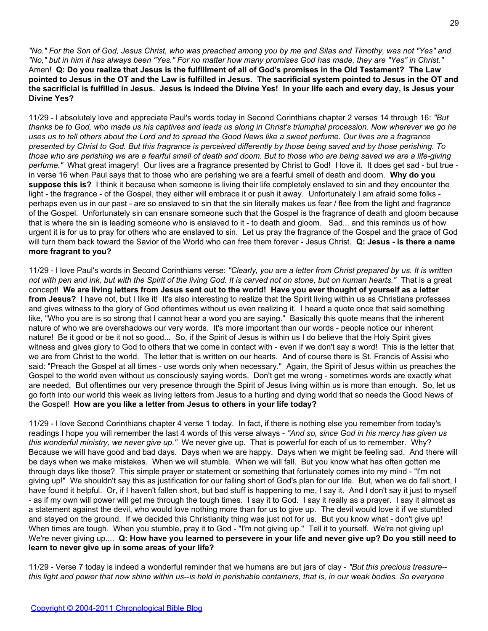*"No." For the Son of God, Jesus Christ, who was preached among you by me and Silas and Timothy, was not "Yes" and "No," but in him it has always been "Yes." For no matter how many promises God has made, they are "Yes" in Christ."* Amen! **Q: Do you realize that Jesus is the fulfillment of all of God's promises in the Old Testament? The Law pointed to Jesus in the OT and the Law is fulfilled in Jesus. The sacrificial system pointed to Jesus in the OT and the sacrificial is fulfilled in Jesus. Jesus is indeed the Divine Yes! In your life each and every day, is Jesus your Divine Yes?**

11/29 - I absolutely love and appreciate Paul's words today in Second Corinthians chapter 2 verses 14 through 16: *"But thanks be to God, who made us his captives and leads us along in Christ's triumphal procession. Now wherever we go he uses us to tell others about the Lord and to spread the Good News like a sweet perfume. Our lives are a fragrance presented by Christ to God. But this fragrance is perceived differently by those being saved and by those perishing. To those who are perishing we are a fearful smell of death and doom. But to those who are being saved we are a life-giving perfume."* What great imagery! Our lives are a fragrance presented by Christ to God! I love it. It does get sad - but true in verse 16 when Paul says that to those who are perishing we are a fearful smell of death and doom. **Why do you suppose this is?** I think it because when someone is living their life completely enslaved to sin and they encounter the light - the fragrance - of the Gospel, they either will embrace it or push it away. Unfortunately I am afraid some folks perhaps even us in our past - are so enslaved to sin that the sin literally makes us fear / flee from the light and fragrance of the Gospel. Unfortunately sin can ensnare someone such that the Gospel is the fragrance of death and gloom because that is where the sin is leading someone who is enslaved to it - to death and gloom. Sad... and this reminds us of how urgent it is for us to pray for others who are enslaved to sin. Let us pray the fragrance of the Gospel and the grace of God will turn them back toward the Savior of the World who can free them forever - Jesus Christ. **Q: Jesus - is there a name more fragrant to you?**

11/29 - I love Paul's words in Second Corinthians verse: *"Clearly, you are a letter from Christ prepared by us. It is written not with pen and ink, but with the Spirit of the living God. It is carved not on stone, but on human hearts."* That is a great concept! **We are living letters from Jesus sent out to the world! Have you ever thought of yourself as a letter from Jesus?** I have not, but I like it! It's also interesting to realize that the Spirit living within us as Christians professes and gives witness to the glory of God oftentimes without us even realizing it. I heard a quote once that said something like, "Who you are is so strong that I cannot hear a word you are saying." Basically this quote means that the inherent nature of who we are overshadows our very words. It's more important than our words - people notice our inherent nature! Be it good or be it not so good... So, if the Spirit of Jesus is within us I do believe that the Holy Spirit gives witness and gives glory to God to others that we come in contact with - even if we don't say a word! This is the letter that we are from Christ to the world. The letter that is written on our hearts. And of course there is St. Francis of Assisi who said: "Preach the Gospel at all times - use words only when necessary." Again, the Spirit of Jesus within us preaches the Gospel to the world even without us consciously saying words. Don't get me wrong - sometimes words are exactly what are needed. But oftentimes our very presence through the Spirit of Jesus living within us is more than enough. So, let us go forth into our world this week as living letters from Jesus to a hurting and dying world that so needs the Good News of the Gospel! **How are you like a letter from Jesus to others in your life today?**

11/29 - I love Second Corinthians chapter 4 verse 1 today. In fact, if there is nothing else you remember from today's readings I hope you will remember the last 4 words of this verse always - *"And so, since God in his mercy has given us this wonderful ministry, we never give up."* We never give up. That is powerful for each of us to remember. Why? Because we will have good and bad days. Days when we are happy. Days when we might be feeling sad. And there will be days when we make mistakes. When we will stumble. When we will fall. But you know what has often gotten me through days like those? This simple prayer or statement or something that fortunately comes into my mind - "I'm not giving up!" We shouldn't say this as justification for our falling short of God's plan for our life. But, when we do fall short, I have found it helpful. Or, if I haven't fallen short, but bad stuff is happening to me, I say it. And I don't say it just to myself - as if my own will power will get me through the tough times. I say it to God. I say it really as a prayer. I say it almost as a statement against the devil, who would love nothing more than for us to give up. The devil would love it if we stumbled and stayed on the ground. If we decided this Christianity thing was just not for us. But you know what - don't give up! When times are tough. When you stumble, pray it to God - "I'm not giving up." Tell it to yourself. We're not giving up! We're never giving up.... **Q: How have you learned to persevere in your life and never give up? Do you still need to learn to never give up in some areas of your life?**

11/29 - Verse 7 today is indeed a wonderful reminder that we humans are but jars of clay - *"But this precious treasure- this light and power that now shine within us--is held in perishable containers, that is, in our weak bodies. So everyone*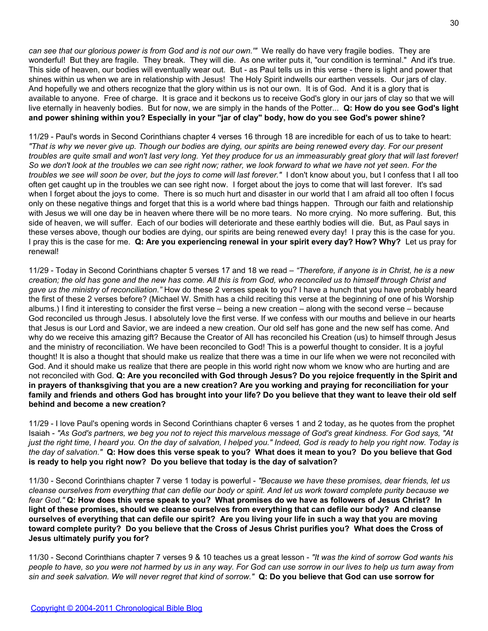*can see that our glorious power is from God and is not our own.'"* We really do have very fragile bodies. They are wonderful! But they are fragile. They break. They will die. As one writer puts it, "our condition is terminal." And it's true. This side of heaven, our bodies will eventually wear out. But - as Paul tells us in this verse - there is light and power that shines within us when we are in relationship with Jesus! The Holy Spirit indwells our earthen vessels. Our jars of clay. And hopefully we and others recognize that the glory within us is not our own. It is of God. And it is a glory that is available to anyone. Free of charge. It is grace and it beckons us to receive God's glory in our jars of clay so that we will live eternally in heavenly bodies. But for now, we are simply in the hands of the Potter... **Q: How do you see God's light and power shining within you? Especially in your "jar of clay" body, how do you see God's power shine?**

11/29 - Paul's words in Second Corinthians chapter 4 verses 16 through 18 are incredible for each of us to take to heart: *"That is why we never give up. Though our bodies are dying, our spirits are being renewed every day. For our present troubles are quite small and won't last very long. Yet they produce for us an immeasurably great glory that will last forever! So we don't look at the troubles we can see right now; rather, we look forward to what we have not yet seen. For the troubles we see will soon be over, but the joys to come will last forever."* I don't know about you, but I confess that I all too often get caught up in the troubles we can see right now. I forget about the joys to come that will last forever. It's sad when I forget about the joys to come. There is so much hurt and disaster in our world that I am afraid all too often I focus only on these negative things and forget that this is a world where bad things happen. Through our faith and relationship with Jesus we will one day be in heaven where there will be no more tears. No more crying. No more suffering. But, this side of heaven, we will suffer. Each of our bodies will deteriorate and these earthly bodies will die. But, as Paul says in these verses above, though our bodies are dying, our spirits are being renewed every day! I pray this is the case for you. I pray this is the case for me. **Q: Are you experiencing renewal in your spirit every day? How? Why?** Let us pray for renewal!

11/29 - Today in Second Corinthians chapter 5 verses 17 and 18 we read – *"Therefore, if anyone is in Christ, he is a new creation; the old has gone and the new has come. All this is from God, who reconciled us to himself through Christ and gave us the ministry of reconciliation."* How do these 2 verses speak to you? I have a hunch that you have probably heard the first of these 2 verses before? (Michael W. Smith has a child reciting this verse at the beginning of one of his Worship albums.) I find it interesting to consider the first verse – being a new creation – along with the second verse – because God reconciled us through Jesus. I absolutely love the first verse. If we confess with our mouths and believe in our hearts that Jesus is our Lord and Savior, we are indeed a new creation. Our old self has gone and the new self has come. And why do we receive this amazing gift? Because the Creator of All has reconciled his Creation (us) to himself through Jesus and the ministry of reconciliation. We have been reconciled to God! This is a powerful thought to consider. It is a joyful thought! It is also a thought that should make us realize that there was a time in our life when we were not reconciled with God. And it should make us realize that there are people in this world right now whom we know who are hurting and are not reconciled with God. **Q: Are you reconciled with God through Jesus? Do you rejoice frequently in the Spirit and in prayers of thanksgiving that you are a new creation? Are you working and praying for reconciliation for your family and friends and others God has brought into your life? Do you believe that they want to leave their old self behind and become a new creation?**

11/29 - I love Paul's opening words in Second Corinthians chapter 6 verses 1 and 2 today, as he quotes from the prophet Isaiah - *"As God's partners, we beg you not to reject this marvelous message of God's great kindness. For God says, "At just the right time, I heard you. On the day of salvation, I helped you." Indeed, God is ready to help you right now. Today is the day of salvation."* **Q: How does this verse speak to you? What does it mean to you? Do you believe that God is ready to help you right now? Do you believe that today is the day of salvation?**

11/30 - Second Corinthians chapter 7 verse 1 today is powerful - *"Because we have these promises, dear friends, let us cleanse ourselves from everything that can defile our body or spirit. And let us work toward complete purity because we fear God."* **Q: How does this verse speak to you? What promises do we have as followers of Jesus Christ? In light of these promises, should we cleanse ourselves from everything that can defile our body? And cleanse ourselves of everything that can defile our spirit? Are you living your life in such a way that you are moving toward complete purity? Do you believe that the Cross of Jesus Christ purifies you? What does the Cross of Jesus ultimately purify you for?**

11/30 - Second Corinthians chapter 7 verses 9 & 10 teaches us a great lesson - *"It was the kind of sorrow God wants his people to have, so you were not harmed by us in any way. For God can use sorrow in our lives to help us turn away from sin and seek salvation. We will never regret that kind of sorrow."* **Q: Do you believe that God can use sorrow for**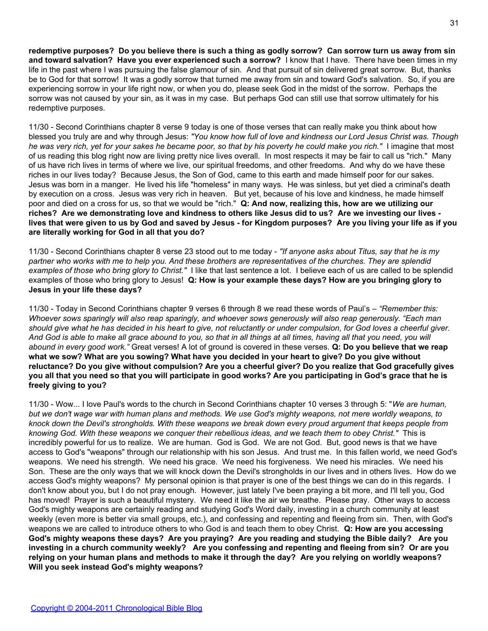**redemptive purposes? Do you believe there is such a thing as godly sorrow? Can sorrow turn us away from sin and toward salvation? Have you ever experienced such a sorrow?** I know that I have. There have been times in my life in the past where I was pursuing the false glamour of sin. And that pursuit of sin delivered great sorrow. But, thanks be to God for that sorrow! It was a godly sorrow that turned me away from sin and toward God's salvation. So, if you are experiencing sorrow in your life right now, or when you do, please seek God in the midst of the sorrow. Perhaps the sorrow was not caused by your sin, as it was in my case. But perhaps God can still use that sorrow ultimately for his redemptive purposes.

11/30 - Second Corinthians chapter 8 verse 9 today is one of those verses that can really make you think about how blessed you truly are and why through Jesus: *"You know how full of love and kindness our Lord Jesus Christ was. Though he was very rich, yet for your sakes he became poor, so that by his poverty he could make you rich."* I imagine that most of us reading this blog right now are living pretty nice lives overall. In most respects it may be fair to call us "rich." Many of us have rich lives in terms of where we live, our spiritual freedoms, and other freedoms. And why do we have these riches in our lives today? Because Jesus, the Son of God, came to this earth and made himself poor for our sakes. Jesus was born in a manger. He lived his life "homeless" in many ways. He was sinless, but yet died a criminal's death by execution on a cross. Jesus was very rich in heaven. But yet, because of his love and kindness, he made himself poor and died on a cross for us, so that we would be "rich." **Q: And now, realizing this, how are we utilizing our riches? Are we demonstrating love and kindness to others like Jesus did to us? Are we investing our lives lives that were given to us by God and saved by Jesus - for Kingdom purposes? Are you living your life as if you are literally working for God in all that you do?**

11/30 - Second Corinthians chapter 8 verse 23 stood out to me today - *"If anyone asks about Titus, say that he is my partner who works with me to help you. And these brothers are representatives of the churches. They are splendid examples of those who bring glory to Christ."* I like that last sentence a lot. I believe each of us are called to be splendid examples of those who bring glory to Jesus! **Q: How is your example these days? How are you bringing glory to Jesus in your life these days?**

11/30 - Today in Second Corinthians chapter 9 verses 6 through 8 we read these words of Paul's – *"Remember this: Whoever sows sparingly will also reap sparingly, and whoever sows generously will also reap generously. "Each man should give what he has decided in his heart to give, not reluctantly or under compulsion, for God loves a cheerful giver. And God is able to make all grace abound to you, so that in all things at all times, having all that you need, you will abound in every good work."* Great verses! A lot of ground is covered in these verses. **Q: Do you believe that we reap what we sow? What are you sowing? What have you decided in your heart to give? Do you give without reluctance? Do you give without compulsion? Are you a cheerful giver? Do you realize that God gracefully gives you all that you need so that you will participate in good works? Are you participating in God's grace that he is freely giving to you?**

11/30 - Wow... I love Paul's words to the church in Second Corinthians chapter 10 verses 3 through 5: "*We are human, but we don't wage war with human plans and methods. We use God's mighty weapons, not mere worldly weapons, to knock down the Devil's strongholds. With these weapons we break down every proud argument that keeps people from knowing God. With these weapons we conquer their rebellious ideas, and we teach them to obey Christ."* This is incredibly powerful for us to realize. We are human. God is God. We are not God. But, good news is that we have access to God's "weapons" through our relationship with his son Jesus. And trust me. In this fallen world, we need God's weapons. We need his strength. We need his grace. We need his forgiveness. We need his miracles. We need his Son. These are the only ways that we will knock down the Devil's strongholds in our lives and in others lives. How do we access God's mighty weapons? My personal opinion is that prayer is one of the best things we can do in this regards. I don't know about you, but I do not pray enough. However, just lately I've been praying a bit more, and I'll tell you, God has moved! Prayer is such a beautiful mystery. We need it like the air we breathe. Please pray. Other ways to access God's mighty weapons are certainly reading and studying God's Word daily, investing in a church community at least weekly (even more is better via small groups, etc.), and confessing and repenting and fleeing from sin. Then, with God's weapons we are called to introduce others to who God is and teach them to obey Christ. **Q: How are you accessing God's mighty weapons these days? Are you praying? Are you reading and studying the Bible daily? Are you investing in a church community weekly? Are you confessing and repenting and fleeing from sin? Or are you relying on your human plans and methods to make it through the day? Are you relying on worldly weapons? Will you seek instead God's mighty weapons?**